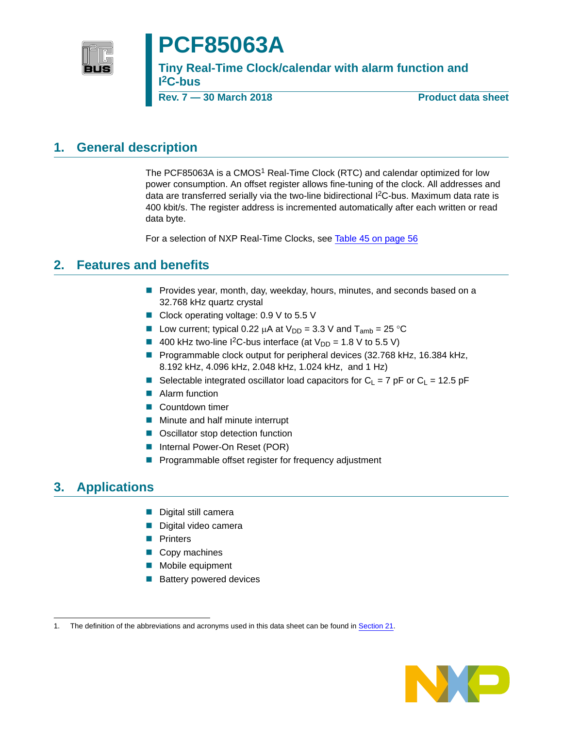

# **PCF85063A**

**Tiny Real-Time Clock/calendar with alarm function and I 2C-bus**

**Rev. 7 — 30 March 2018 Product data sheet**

## <span id="page-0-0"></span>**1. General description**

The PCF85063A is a CMOS<sup>1</sup> Real-Time Clock (RTC) and calendar optimized for low power consumption. An offset register allows fine-tuning of the clock. All addresses and data are transferred serially via the two-line bidirectional  ${}^{12}$ C-bus. Maximum data rate is 400 kbit/s. The register address is incremented automatically after each written or read data byte.

For a selection of NXP Real-Time Clocks, see [Table 45 on page 56](#page-55-0)

## <span id="page-0-1"></span>**2. Features and benefits**

- **Provides year, month, day, weekday, hours, minutes, and seconds based on a** 32.768 kHz quartz crystal
- Clock operating voltage: 0.9 V to 5.5 V
- Low current; typical 0.22  $\mu$ A at  $V_{DD} = 3.3$  V and  $T_{amb} = 25$  °C
- 400 kHz two-line I<sup>2</sup>C-bus interface (at  $V_{DD} = 1.8$  V to 5.5 V)
- **Programmable clock output for peripheral devices (32.768 kHz, 16.384 kHz,** 8.192 kHz, 4.096 kHz, 2.048 kHz, 1.024 kHz, and 1 Hz)
- Selectable integrated oscillator load capacitors for  $C_L = 7$  pF or  $C_L = 12.5$  pF
- Alarm function
- Countdown timer
- **Minute and half minute interrupt**
- Oscillator stop detection function
- Internal Power-On Reset (POR)
- **Programmable offset register for frequency adjustment**

## <span id="page-0-2"></span>**3. Applications**

- Digital still camera
- Digital video camera
- **Printers**
- Copy machines
- **Mobile equipment**
- **Battery powered devices**

<sup>1.</sup> The definition of the abbreviations and acronyms used in this data sheet can be found in [Section 21.](#page-57-0)

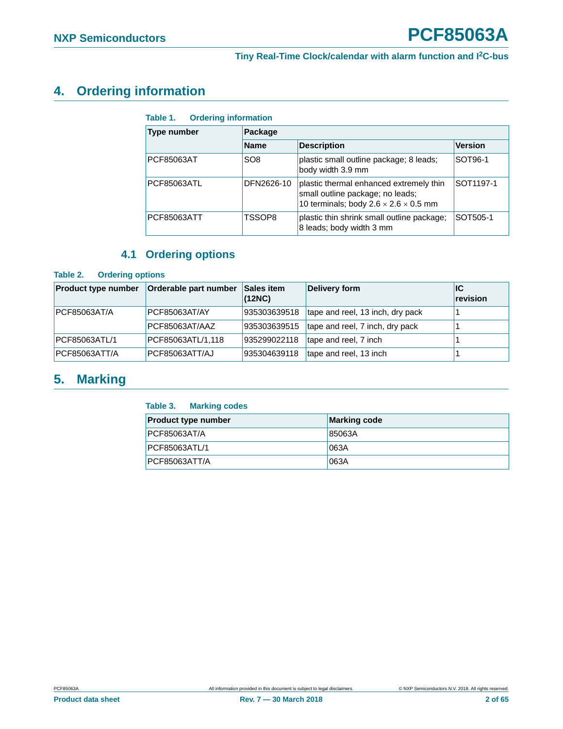## <span id="page-1-3"></span>**4. Ordering information**

<span id="page-1-0"></span>

| Table 1. | <b>Ordering information</b> |
|----------|-----------------------------|
|          |                             |

| <b>Type number</b> | Package         |                                                                                                                                  |                |  |  |  |  |
|--------------------|-----------------|----------------------------------------------------------------------------------------------------------------------------------|----------------|--|--|--|--|
|                    | <b>Name</b>     | <b>Version</b>                                                                                                                   |                |  |  |  |  |
| PCF85063AT         | SO <sub>8</sub> | plastic small outline package; 8 leads;<br>body width 3.9 mm                                                                     | <b>SOT96-1</b> |  |  |  |  |
| <b>PCF85063ATL</b> | DFN2626-10      | plastic thermal enhanced extremely thin<br>small outline package; no leads;<br>10 terminals; body $2.6 \times 2.6 \times 0.5$ mm | SOT1197-1      |  |  |  |  |
| PCF85063ATT        | TSSOP8          | plastic thin shrink small outline package;<br>8 leads; body width 3 mm                                                           | SOT505-1       |  |  |  |  |

## **4.1 Ordering options**

#### <span id="page-1-4"></span><span id="page-1-1"></span>**Table 2. Ordering options**

| <b>Product type number</b> | Orderable part number | Sales item<br>(12NC) | Delivery form                    | ΙC<br>revision |
|----------------------------|-----------------------|----------------------|----------------------------------|----------------|
| PCF85063AT/A               | PCF85063AT/AY         | 935303639518         | tape and reel, 13 inch, dry pack |                |
|                            | PCF85063AT/AAZ        | 935303639515         | tape and reel, 7 inch, dry pack  |                |
| PCF85063ATL/1              | PCF85063ATL/1,118     | 935299022118         | tape and reel, 7 inch            |                |
| PCF85063ATT/A              | PCF85063ATT/AJ        | 935304639118         | tape and reel, 13 inch           |                |

## <span id="page-1-5"></span>**5. Marking**

#### <span id="page-1-2"></span>**Table 3. Marking codes**

| <b>Product type number</b> | Marking code |
|----------------------------|--------------|
| <b>PCF85063AT/A</b>        | 85063A       |
| PCF85063ATL/1              | 063A         |
| <b>PCF85063ATT/A</b>       | 063A         |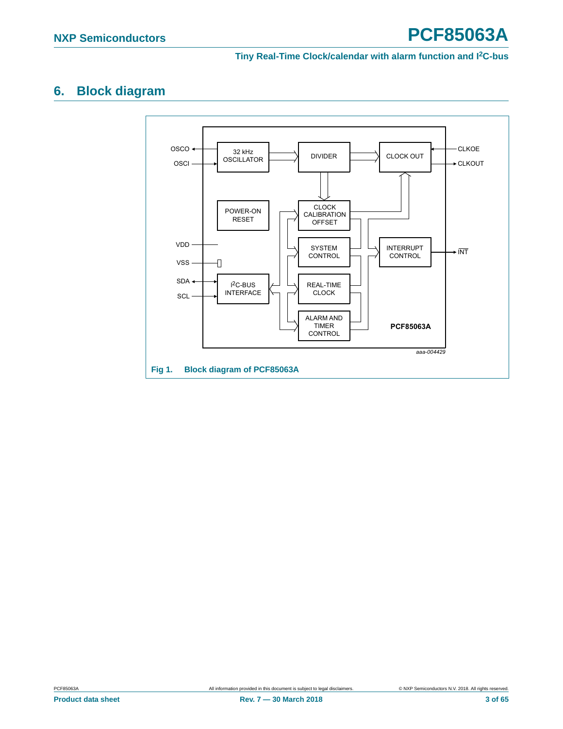## <span id="page-2-1"></span>**6. Block diagram**

<span id="page-2-0"></span>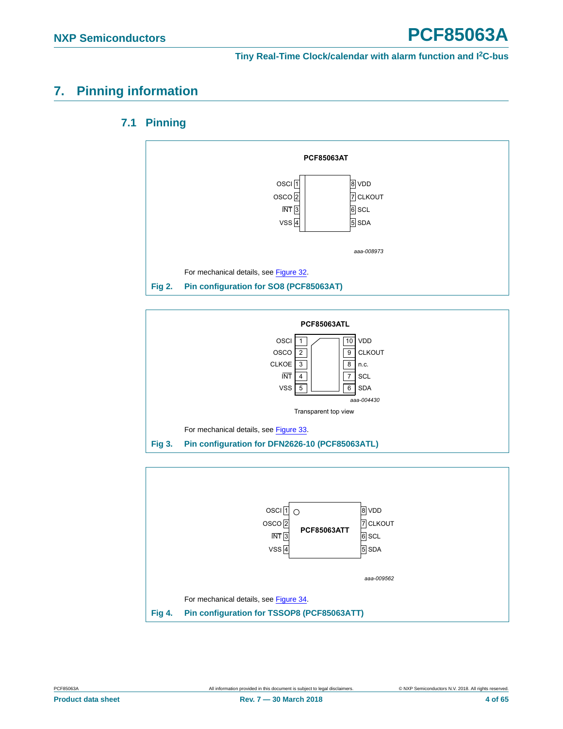## <span id="page-3-4"></span><span id="page-3-3"></span>**7. Pinning information**

### **7.1 Pinning**



<span id="page-3-0"></span>

<span id="page-3-1"></span>

<span id="page-3-2"></span>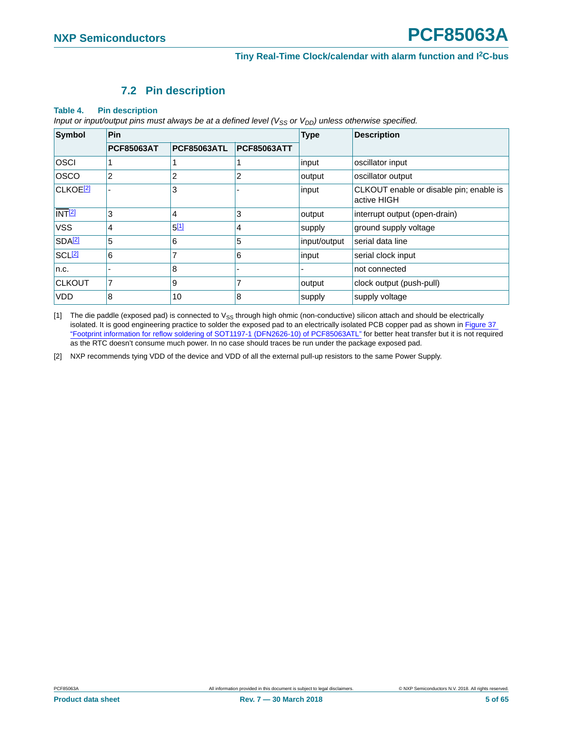### **7.2 Pin description**

#### <span id="page-4-3"></span><span id="page-4-2"></span>**Table 4. Pin description**

*Input or input/output pins must always be at a defined level (V<sub>SS</sub> or V<sub>DD</sub>) unless otherwise specified.* 

| <b>Symbol</b>              | Pin               |                    |                    | <b>Type</b>                                                     | <b>Description</b>            |  |
|----------------------------|-------------------|--------------------|--------------------|-----------------------------------------------------------------|-------------------------------|--|
|                            | <b>PCF85063AT</b> | <b>PCF85063ATL</b> | <b>PCF85063ATT</b> |                                                                 |                               |  |
| <b>OSCI</b>                |                   |                    |                    | input                                                           | oscillator input              |  |
| <b>OSCO</b>                | 2                 | 2                  | 2                  | output                                                          | oscillator output             |  |
| <b>CLKOE<sup>[2]</sup></b> |                   | 3                  |                    | CLKOUT enable or disable pin; enable is<br>input<br>active HIGH |                               |  |
| NT <sup>[2]</sup>          | 3                 | 4                  | 3                  | output                                                          | interrupt output (open-drain) |  |
| <b>VSS</b>                 | 4                 | 5[1]               | 4                  | supply                                                          | ground supply voltage         |  |
| SDA <sup>[2]</sup>         | 5                 | 6                  | 5                  | input/output                                                    | serial data line              |  |
| <b>SCL<sup>[2]</sup></b>   | 6                 | 7                  | 6                  | input                                                           | serial clock input            |  |
| n.c.                       |                   | 8                  |                    |                                                                 | not connected                 |  |
| <b>CLKOUT</b>              | 7                 | l 9                | 7                  | output                                                          | clock output (push-pull)      |  |
| <b>VDD</b>                 | 8                 | 10                 | 8                  | supply                                                          | supply voltage                |  |

<span id="page-4-0"></span>[1] The die paddle (exposed pad) is connected to V<sub>SS</sub> through high ohmic (non-conductive) silicon attach and should be electrically isolated. It is good engineering practice to solder the exposed pad to an electrically isolated PCB copper pad as shown in [Figure 37](#page-53-0)  ["Footprint information for reflow soldering of SOT1197-1 \(DFN2626-10\) of PCF85063ATL"](#page-53-0) for better heat transfer but it is not required as the RTC doesn't consume much power. In no case should traces be run under the package exposed pad.

<span id="page-4-1"></span>[2] NXP recommends tying VDD of the device and VDD of all the external pull-up resistors to the same Power Supply.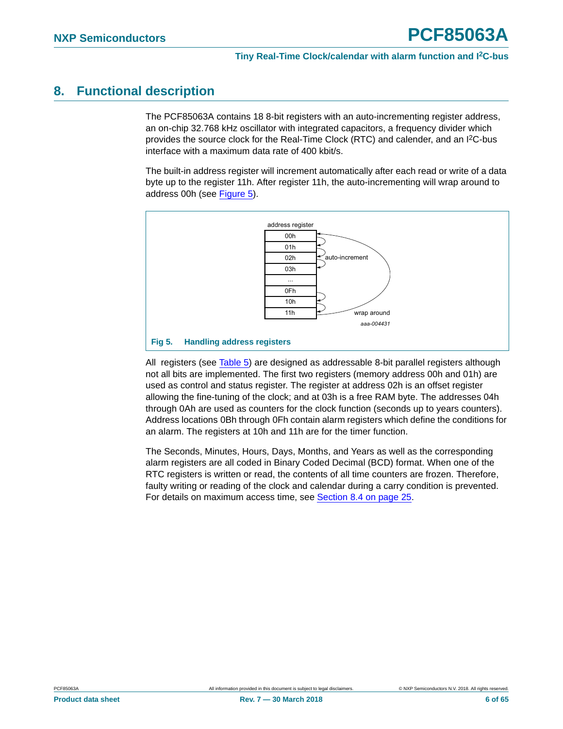## <span id="page-5-1"></span>**8. Functional description**

The PCF85063A contains 18 8-bit registers with an auto-incrementing register address, an on-chip 32.768 kHz oscillator with integrated capacitors, a frequency divider which provides the source clock for the Real-Time Clock (RTC) and calender, and an I2C-bus interface with a maximum data rate of 400 kbit/s.

The built-in address register will increment automatically after each read or write of a data byte up to the register 11h. After register 11h, the auto-incrementing will wrap around to address 00h (see [Figure 5](#page-5-0)).



<span id="page-5-0"></span>All registers (see [Table 5\)](#page-6-0) are designed as addressable 8-bit parallel registers although not all bits are implemented. The first two registers (memory address 00h and 01h) are used as control and status register. The register at address 02h is an offset register allowing the fine-tuning of the clock; and at 03h is a free RAM byte. The addresses 04h through 0Ah are used as counters for the clock function (seconds up to years counters). Address locations 0Bh through 0Fh contain alarm registers which define the conditions for an alarm. The registers at 10h and 11h are for the timer function.

The Seconds, Minutes, Hours, Days, Months, and Years as well as the corresponding alarm registers are all coded in Binary Coded Decimal (BCD) format. When one of the RTC registers is written or read, the contents of all time counters are frozen. Therefore, faulty writing or reading of the clock and calendar during a carry condition is prevented. For details on maximum access time, see [Section 8.4 on page 25.](#page-24-0)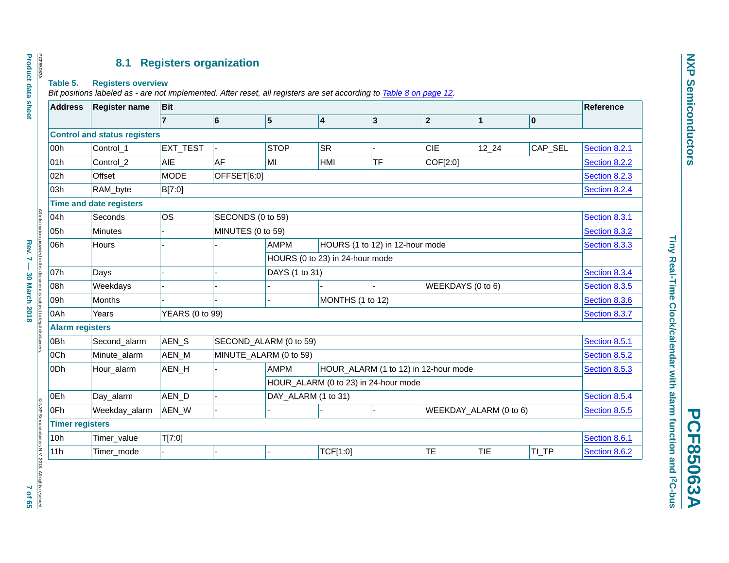## **8.1 Registers organization**

#### **Table 5. Registers overview**

*Bit positions labeled as - are not implemented. After reset, all registers are set according to Table [8 on page](#page-11-0) 12.*

<span id="page-6-1"></span><span id="page-6-0"></span>

| <b>Address</b>                                 | <b>Register name</b>                | <b>Bit</b>             |                   |                        |                                      |    |                |                        |                           | Reference     |
|------------------------------------------------|-------------------------------------|------------------------|-------------------|------------------------|--------------------------------------|----|----------------|------------------------|---------------------------|---------------|
|                                                |                                     | $\overline{7}$         | 6                 | $\vert 5 \vert$        | 4                                    | 3  | $\overline{2}$ | $\mathbf 1$            | $\boldsymbol{\mathsf{0}}$ |               |
|                                                | <b>Control and status registers</b> |                        |                   |                        |                                      |    |                |                        |                           |               |
| 00h                                            | Control_1                           | EXT_TEST               |                   | <b>STOP</b>            | <b>SR</b>                            |    | <b>CIE</b>     | $12_{24}$              | CAP_SEL                   | Section 8.2.1 |
| 01h                                            | Control_2                           | AIE                    | AF                | MI                     | HMI                                  | TF | COF[2:0]       |                        |                           | Section 8.2.2 |
| 02h                                            | Offset                              | <b>MODE</b>            | OFFSET[6:0]       |                        |                                      |    |                |                        |                           | Section 8.2.3 |
| 03h                                            | RAM_byte                            | B[7:0]                 |                   |                        |                                      |    |                |                        |                           | Section 8.2.4 |
|                                                | <b>Time and date registers</b>      |                        |                   |                        |                                      |    |                |                        |                           |               |
| 04h                                            | Seconds                             | <b>OS</b>              | SECONDS (0 to 59) |                        |                                      |    |                |                        |                           | Section 8.3.1 |
| 05h                                            | Minutes                             |                        | MINUTES (0 to 59) |                        |                                      |    |                |                        |                           | Section 8.3.2 |
| 06h                                            | Hours                               |                        |                   | <b>AMPM</b>            | HOURS (1 to 12) in 12-hour mode      |    |                |                        |                           | Section 8.3.3 |
|                                                |                                     |                        |                   |                        | HOURS (0 to 23) in 24-hour mode      |    |                |                        |                           |               |
| 07h                                            | Days                                |                        |                   | DAYS (1 to 31)         |                                      |    |                |                        |                           | Section 8.3.4 |
| 08h                                            | Weekdays                            |                        |                   |                        |                                      |    |                | WEEKDAYS (0 to 6)      |                           | Section 8.3.5 |
| 09h                                            | Months                              |                        |                   |                        | MONTHS (1 to 12)                     |    |                |                        |                           | Section 8.3.6 |
| 0Ah                                            | Years                               | <b>YEARS (0 to 99)</b> |                   |                        |                                      |    |                |                        |                           | Section 8.3.7 |
| <b>Alarm registers</b>                         |                                     |                        |                   |                        |                                      |    |                |                        |                           |               |
| 0Bh                                            | Second_alarm                        | AEN_S                  |                   | SECOND_ALARM (0 to 59) |                                      |    |                |                        |                           | Section 8.5.1 |
| 0Ch                                            | Minute_alarm                        | AEN_M                  |                   | MINUTE_ALARM (0 to 59) |                                      |    |                |                        |                           | Section 8.5.2 |
| 0Dh                                            | Hour_alarm                          | AEN_H                  |                   | <b>AMPM</b>            | HOUR_ALARM (1 to 12) in 12-hour mode |    |                |                        |                           | Section 8.5.3 |
|                                                |                                     |                        |                   |                        | HOUR_ALARM (0 to 23) in 24-hour mode |    |                |                        |                           |               |
| 0Eh                                            | Day_alarm                           | AEN_D                  |                   | DAY_ALARM (1 to 31)    |                                      |    |                |                        |                           | Section 8.5.4 |
| 0Fh                                            | Weekday_alarm                       | AEN_W                  |                   |                        |                                      |    |                | WEEKDAY_ALARM (0 to 6) |                           | Section 8.5.5 |
| <b>Timer registers</b>                         |                                     |                        |                   |                        |                                      |    |                |                        |                           |               |
| iductors N.V. 2018. All rights reserved<br>10h | Timer_value                         | T[7:0]                 |                   |                        |                                      |    |                |                        |                           | Section 8.6.1 |
|                                                | Timer_mode                          |                        | $\overline{a}$    |                        | TCF[1:0]                             |    | TE             | <b>TIE</b>             | TI_TP                     | Section 8.6.2 |

Tiny Real-Time Clock/calendar with alarm function and I2C-bus **Tiny Real-Time Clock/calendar with alarm function and I2C-bus**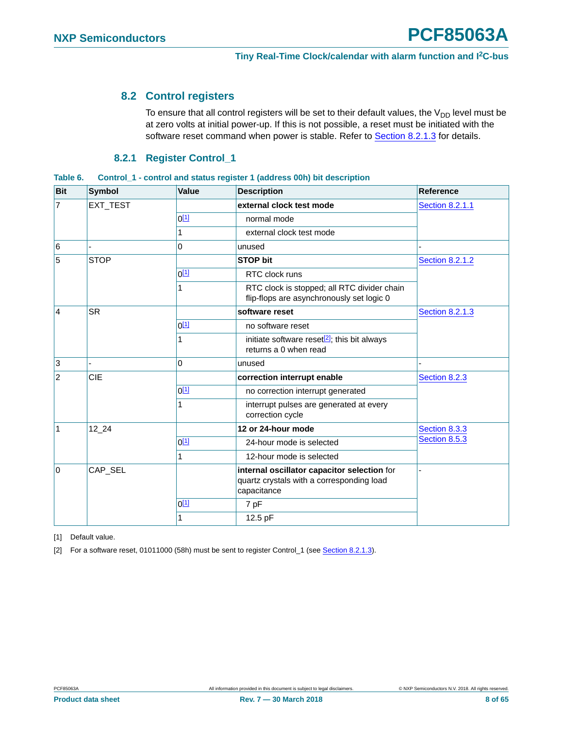## <span id="page-7-2"></span>**8.2 Control registers**

To ensure that all control registers will be set to their default values, the  $V_{DD}$  level must be at zero volts at initial power-up. If this is not possible, a reset must be initiated with the software reset command when power is stable. Refer to **[Section 8.2.1.3](#page-11-1)** for details.

### **8.2.1 Register Control\_1**

<span id="page-7-4"></span><span id="page-7-3"></span>

| Table 6. | Control 1 - control and status register 1 (address 00h) bit description |  |
|----------|-------------------------------------------------------------------------|--|
|          |                                                                         |  |

| <b>Bit</b>      | <b>Symbol</b> | Value            | <b>Description</b>                                                                                      | Reference              |
|-----------------|---------------|------------------|---------------------------------------------------------------------------------------------------------|------------------------|
| $\overline{7}$  | EXT_TEST      |                  | external clock test mode                                                                                | <b>Section 8.2.1.1</b> |
|                 |               | $0^{[1]}$        | normal mode                                                                                             |                        |
|                 |               | 1                | external clock test mode                                                                                |                        |
| $6\overline{6}$ |               | 0                | unused                                                                                                  |                        |
| 5               | <b>STOP</b>   |                  | <b>STOP bit</b>                                                                                         | <b>Section 8.2.1.2</b> |
|                 |               | $0^{[1]}$        | RTC clock runs                                                                                          |                        |
|                 |               | 1                | RTC clock is stopped; all RTC divider chain<br>flip-flops are asynchronously set logic 0                |                        |
| $\overline{4}$  | <b>SR</b>     |                  | software reset                                                                                          | <b>Section 8.2.1.3</b> |
|                 |               | $0^{[1]}$        | no software reset                                                                                       |                        |
|                 |               | 1                | initiate software reset <sup>[2]</sup> ; this bit always<br>returns a 0 when read                       |                        |
| $\overline{3}$  |               | $\Omega$         | unused                                                                                                  |                        |
| $ 2\rangle$     | CIE           |                  | correction interrupt enable                                                                             | Section 8.2.3          |
|                 |               | $0^{[1]}$        | no correction interrupt generated                                                                       |                        |
|                 |               | 1                | interrupt pulses are generated at every<br>correction cycle                                             |                        |
| $\mathbf{1}$    | 12 24         |                  | 12 or 24-hour mode                                                                                      | Section 8.3.3          |
|                 |               | 0 <sup>[1]</sup> | 24-hour mode is selected                                                                                | Section 8.5.3          |
|                 |               | 1                | 12-hour mode is selected                                                                                |                        |
| l0              | CAP_SEL       |                  | internal oscillator capacitor selection for<br>quartz crystals with a corresponding load<br>capacitance |                        |
|                 |               | 0 <sup>[1]</sup> | 7 pF                                                                                                    |                        |
|                 |               | 1                | 12.5 pF                                                                                                 |                        |

<span id="page-7-0"></span>[1] Default value.

<span id="page-7-1"></span>[2] For a software reset, 01011000 (58h) must be sent to register Control\_1 (see [Section 8.2.1.3](#page-11-1)).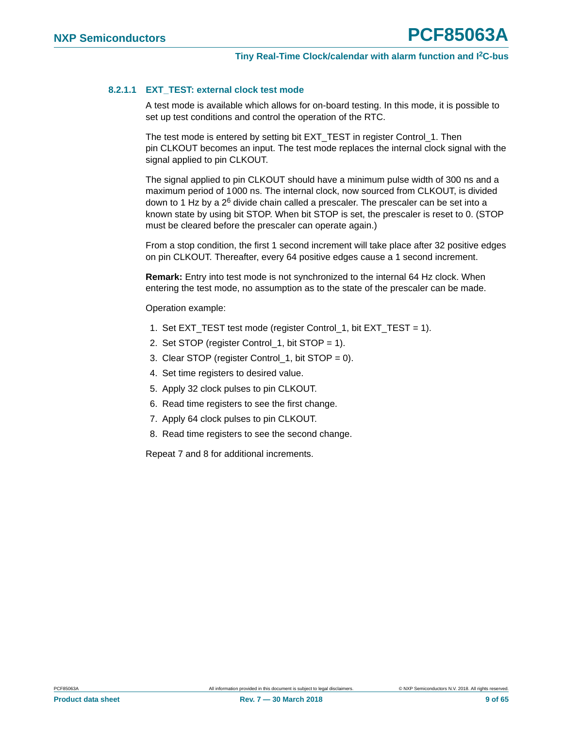#### <span id="page-8-0"></span>**8.2.1.1 EXT\_TEST: external clock test mode**

A test mode is available which allows for on-board testing. In this mode, it is possible to set up test conditions and control the operation of the RTC.

The test mode is entered by setting bit EXT\_TEST in register Control\_1. Then pin CLKOUT becomes an input. The test mode replaces the internal clock signal with the signal applied to pin CLKOUT.

The signal applied to pin CLKOUT should have a minimum pulse width of 300 ns and a maximum period of 1000 ns. The internal clock, now sourced from CLKOUT, is divided down to 1 Hz by a  $2^6$  divide chain called a prescaler. The prescaler can be set into a known state by using bit STOP. When bit STOP is set, the prescaler is reset to 0. (STOP must be cleared before the prescaler can operate again.)

From a stop condition, the first 1 second increment will take place after 32 positive edges on pin CLKOUT. Thereafter, every 64 positive edges cause a 1 second increment.

**Remark:** Entry into test mode is not synchronized to the internal 64 Hz clock. When entering the test mode, no assumption as to the state of the prescaler can be made.

Operation example:

- 1. Set EXT\_TEST test mode (register Control\_1, bit EXT\_TEST = 1).
- 2. Set STOP (register Control\_1, bit STOP = 1).
- 3. Clear STOP (register Control\_1, bit STOP = 0).
- 4. Set time registers to desired value.
- 5. Apply 32 clock pulses to pin CLKOUT.
- 6. Read time registers to see the first change.
- 7. Apply 64 clock pulses to pin CLKOUT.
- 8. Read time registers to see the second change.

Repeat 7 and 8 for additional increments.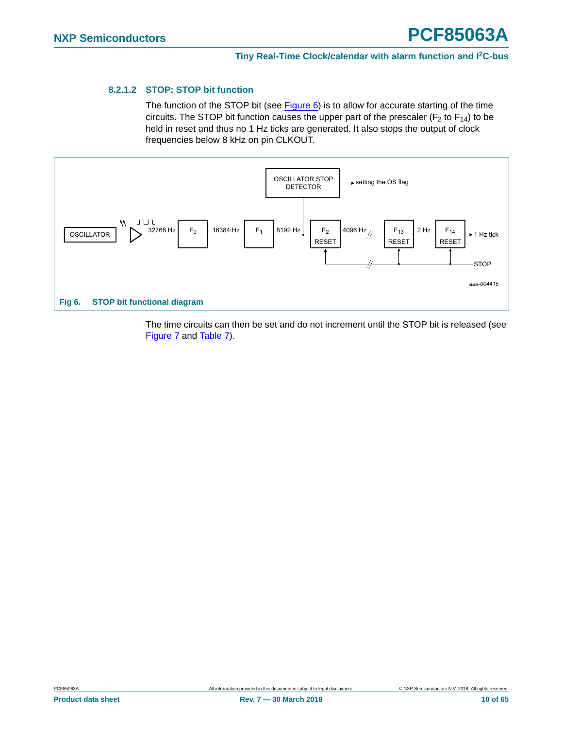#### <span id="page-9-0"></span>**8.2.1.2 STOP: STOP bit function**

The function of the STOP bit (see  $Figure 6$ ) is to allow for accurate starting of the time circuits. The STOP bit function causes the upper part of the prescaler ( $F_2$  to  $F_{14}$ ) to be held in reset and thus no 1 Hz ticks are generated. It also stops the output of clock frequencies below 8 kHz on pin CLKOUT.



<span id="page-9-1"></span>The time circuits can then be set and do not increment until the STOP bit is released (see [Figure 7](#page-10-0) and [Table 7\)](#page-10-1).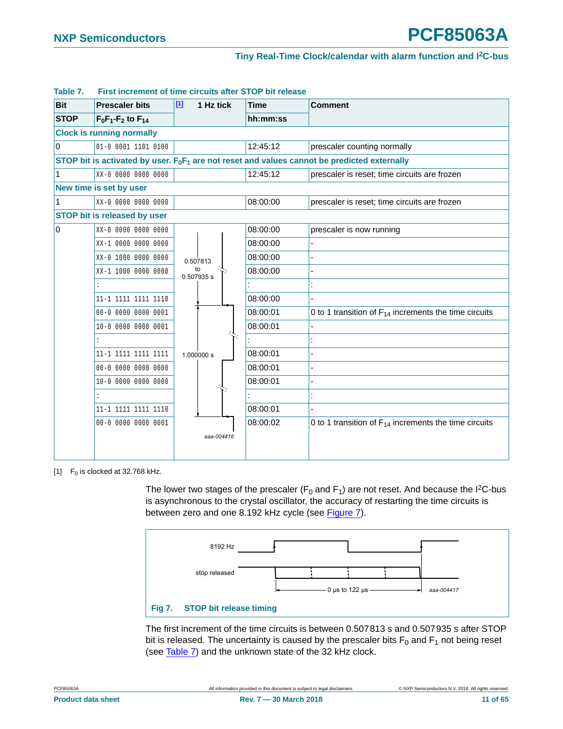| <b>Bit</b>  | <b>Prescaler bits</b>               | $[1]$<br>1 Hz tick | <b>Time</b> | <b>Comment</b>                                                                                  |
|-------------|-------------------------------------|--------------------|-------------|-------------------------------------------------------------------------------------------------|
| <b>STOP</b> | $F_0F_1-F_2$ to $F_{14}$            |                    | hh:mm:ss    |                                                                                                 |
|             | <b>Clock is running normally</b>    |                    |             |                                                                                                 |
| $\Omega$    | 01-0 0001 1101 0100                 |                    | 12:45:12    | prescaler counting normally                                                                     |
|             |                                     |                    |             | STOP bit is activated by user. $F_0F_1$ are not reset and values cannot be predicted externally |
| 1           | XX-0 0000 0000 0000                 |                    | 12:45:12    | prescaler is reset; time circuits are frozen                                                    |
|             | New time is set by user             |                    |             |                                                                                                 |
| 1           | XX-0 0000 0000 0000                 |                    | 08:00:00    | prescaler is reset; time circuits are frozen                                                    |
|             | <b>STOP bit is released by user</b> |                    |             |                                                                                                 |
| 0           | XX-0 0000 0000 0000                 |                    | 08:00:00    | prescaler is now running                                                                        |
|             | XX-1 0000 0000 0000                 |                    | 08:00:00    |                                                                                                 |
|             | XX-0 1000 0000 0000                 | 0.507813           | 08:00:00    |                                                                                                 |
|             | XX-1 1000 0000 0000                 | to<br>0.507935 s   | 08:00:00    |                                                                                                 |
|             |                                     |                    |             |                                                                                                 |
|             | 11-1 1111 1111 1110                 |                    | 08:00:00    |                                                                                                 |
|             | 00-0 0000 0000 0001                 |                    | 08:00:01    | 0 to 1 transition of $F_{14}$ increments the time circuits                                      |
|             | 10-0 0000 0000 0001                 |                    | 08:00:01    |                                                                                                 |
|             | $\cdot$                             |                    |             |                                                                                                 |
|             | 11-1 1111 1111 1111                 | 1.000000 s         | 08:00:01    |                                                                                                 |
|             | 00-0 0000 0000 0000                 |                    | 08:00:01    |                                                                                                 |
|             | 10-0 0000 0000 0000                 |                    | 08:00:01    |                                                                                                 |
|             |                                     |                    |             |                                                                                                 |
|             | 11-1 1111 1111 1110                 |                    | 08:00:01    |                                                                                                 |
|             | 00-0 0000 0000 0001                 |                    | 08:00:02    | 0 to 1 transition of $F_{14}$ increments the time circuits                                      |
|             |                                     | aaa-004416         |             |                                                                                                 |
|             |                                     |                    |             |                                                                                                 |

#### <span id="page-10-1"></span>**Table 7. First increment of time circuits after STOP bit release**

<span id="page-10-2"></span>[1]  $F_0$  is clocked at 32.768 kHz.

The lower two stages of the prescaler ( $F_0$  and  $F_1$ ) are not reset. And because the I<sup>2</sup>C-bus is asynchronous to the crystal oscillator, the accuracy of restarting the time circuits is between zero and one 8.192 kHz cycle (see [Figure 7](#page-10-0)).



<span id="page-10-0"></span>The first increment of the time circuits is between 0.507813 s and 0.507935 s after STOP bit is released. The uncertainty is caused by the prescaler bits  $F_0$  and  $F_1$  not being reset (see [Table 7\)](#page-10-1) and the unknown state of the 32 kHz clock.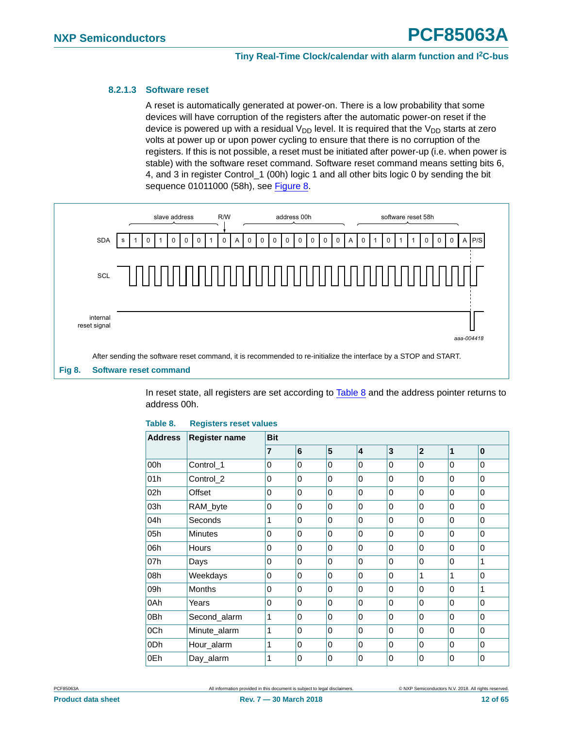#### <span id="page-11-1"></span>**8.2.1.3 Software reset**

<span id="page-11-0"></span>A reset is automatically generated at power-on. There is a low probability that some devices will have corruption of the registers after the automatic power-on reset if the device is powered up with a residual  $V_{DD}$  level. It is required that the  $V_{DD}$  starts at zero volts at power up or upon power cycling to ensure that there is no corruption of the registers. If this is not possible, a reset must be initiated after power-up (i.e. when power is stable) with the software reset command. Software reset command means setting bits 6, 4, and 3 in register Control\_1 (00h) logic 1 and all other bits logic 0 by sending the bit sequence 01011000 (58h), see [Figure 8.](#page-11-2)



<span id="page-11-2"></span>In reset state, all registers are set according to [Table 8](#page-11-3) and the address pointer returns to address 00h.

| <b>Address</b> | <b>Register name</b> | <b>Bit</b>     |                 |   |                         |                         |                |          |          |
|----------------|----------------------|----------------|-----------------|---|-------------------------|-------------------------|----------------|----------|----------|
|                |                      | $\overline{7}$ | $6\phantom{1}6$ | 5 | $\overline{\mathbf{4}}$ | $\overline{\mathbf{3}}$ | $\overline{2}$ | 1        | $\bf{0}$ |
| 00h            | Control_1            | 0              | 0               | 0 | 0                       | 0                       | 0              | 0        | 0        |
| 01h            | Control_2            | $\Omega$       | $\mathbf{0}$    | 0 | 0                       | $\mathbf{0}$            | $\Omega$       | $\Omega$ | 0        |
| 02h            | Offset               | 0              | 0               | 0 | 0                       | $\Omega$                | $\Omega$       | 0        | 0        |
| 03h            | RAM_byte             | $\Omega$       | $\Omega$        | 0 | 0                       | $\Omega$                | $\Omega$       | $\Omega$ | 0        |
| 04h            | Seconds              | 1              | $\Omega$        | 0 | 0                       | $\Omega$                | $\Omega$       | 0        | 0        |
| 05h            | <b>Minutes</b>       | 0              | 0               | 0 | 0                       | 0                       | $\Omega$       | 0        | 0        |
| 06h            | Hours                | 0              | 0               | 0 | 0                       | 0                       | 0              | 0        | 0        |
| 07h            | Days                 | $\Omega$       | $\overline{0}$  | 0 | $\mathbf{0}$            | $\overline{0}$          | $\Omega$       | $\Omega$ | 1        |
| 08h            | Weekdays             | $\Omega$       | $\Omega$        | 0 | 0                       | $\Omega$                | 1              | 1        | 0        |
| 09h            | <b>Months</b>        | $\Omega$       | $\Omega$        | 0 | 0                       | $\Omega$                | $\Omega$       | $\Omega$ | 1        |
| 0Ah            | Years                | $\Omega$       | $\overline{0}$  | 0 | 0                       | $\Omega$                | $\Omega$       | 0        | 0        |
| 0Bh            | Second alarm         | 1              | 0               | 0 | 0                       | 0                       | 0              | 0        | 0        |
| 0Ch            | Minute_alarm         | 1              | $\Omega$        | 0 | 0                       | $\Omega$                | $\Omega$       | $\Omega$ | 0        |
| 0Dh            | Hour_alarm           | 1              | $\Omega$        | 0 | 0                       | $\mathbf{0}$            | $\Omega$       | $\Omega$ | 0        |
| 0Eh            | Day_alarm            | 1              | $\mathbf 0$     | 0 | 0                       | 0                       | $\mathbf 0$    | 0        | 0        |

#### <span id="page-11-3"></span>**Table 8. Registers reset values**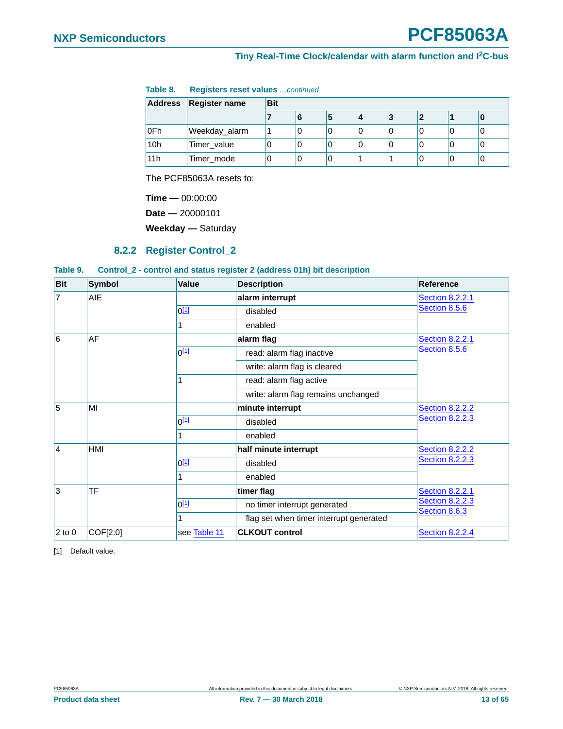| Table 8. |  | <b>Registers reset values</b> continued |  |
|----------|--|-----------------------------------------|--|
|----------|--|-----------------------------------------|--|

|                 | Address   Register name | <b>Bit</b> |   |  |  |   |  |  |  |
|-----------------|-------------------------|------------|---|--|--|---|--|--|--|
|                 |                         |            |   |  |  | з |  |  |  |
| ∣0Fh            | Weekday_alarm           |            |   |  |  |   |  |  |  |
| 10 <sub>h</sub> | Timer_value             |            | U |  |  |   |  |  |  |
| 11h             | Timer_mode              |            |   |  |  |   |  |  |  |

The PCF85063A resets to:

**Time —** 00:00:00

**Date —** 20000101

**Weekday —** Saturday

#### **8.2.2 Register Control\_2**

#### <span id="page-12-2"></span><span id="page-12-1"></span>**Table 9. Control\_2 - control and status register 2 (address 01h) bit description**

| <b>Bit</b>     | <b>Symbol</b> | Value            | <b>Description</b>                      | <b>Reference</b>                        |
|----------------|---------------|------------------|-----------------------------------------|-----------------------------------------|
| $\overline{7}$ | AIE           |                  | alarm interrupt                         | <b>Section 8.2.2.1</b>                  |
|                |               | 0 <sup>[1]</sup> | disabled                                | Section 8.5.6                           |
|                |               |                  | enabled                                 |                                         |
| 6              | AF            | alarm flag       |                                         | <b>Section 8.2.2.1</b>                  |
|                |               | 0 <sup>[1]</sup> | read: alarm flag inactive               | Section 8.5.6                           |
|                |               |                  | write: alarm flag is cleared            |                                         |
|                |               |                  | read: alarm flag active                 |                                         |
|                |               |                  | write: alarm flag remains unchanged     |                                         |
| 5              | MI            |                  | minute interrupt                        | <b>Section 8.2.2.2</b>                  |
|                |               | 0 <sup>[1]</sup> | disabled                                | <b>Section 8.2.2.3</b>                  |
|                |               |                  | enabled                                 |                                         |
| $\overline{4}$ | HMI           |                  | half minute interrupt                   | <b>Section 8.2.2.2</b>                  |
|                |               | 0 <sup>[1]</sup> | disabled                                | <b>Section 8.2.2.3</b>                  |
|                |               |                  | enabled                                 |                                         |
| 3              | TF            |                  | timer flag                              | <b>Section 8.2.2.1</b>                  |
|                |               | 0 <sup>[1]</sup> | no timer interrupt generated            | <b>Section 8.2.2.3</b><br>Section 8.6.3 |
|                |               |                  | flag set when timer interrupt generated |                                         |
| $2$ to 0       | COF[2:0]      | see Table 11     | <b>CLKOUT control</b>                   | <b>Section 8.2.2.4</b>                  |

<span id="page-12-0"></span>[1] Default value.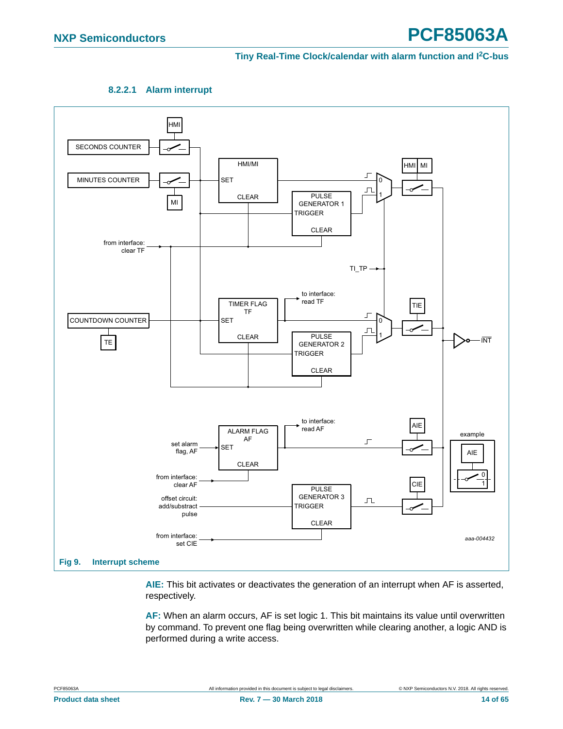

<span id="page-13-0"></span>

<span id="page-13-1"></span>**AIE:** This bit activates or deactivates the generation of an interrupt when AF is asserted, respectively.

**AF:** When an alarm occurs, AF is set logic 1. This bit maintains its value until overwritten by command. To prevent one flag being overwritten while clearing another, a logic AND is performed during a write access.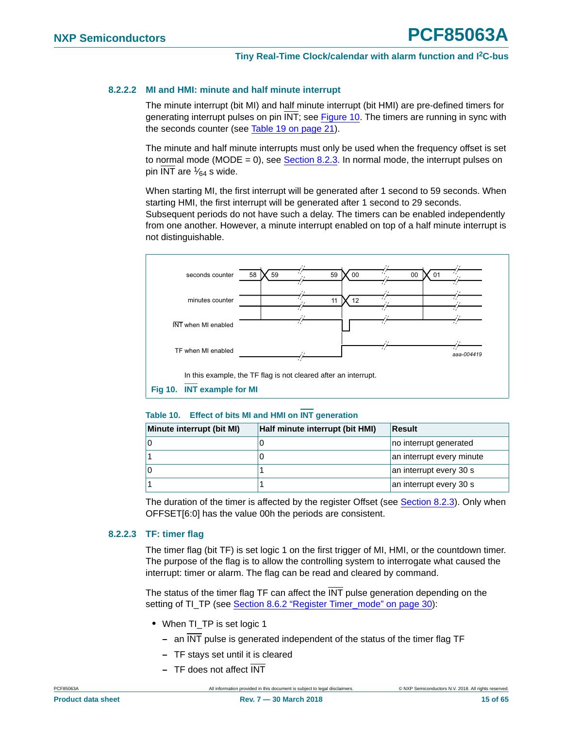#### <span id="page-14-1"></span>**8.2.2.2 MI and HMI: minute and half minute interrupt**

The minute interrupt (bit MI) and half minute interrupt (bit HMI) are pre-defined timers for generating interrupt pulses on pin INT; see [Figure 10](#page-14-2). The timers are running in sync with the seconds counter (see [Table 19 on page 21\)](#page-20-2).

The minute and half minute interrupts must only be used when the frequency offset is set to normal mode (MODE = 0), see Section  $8.2.3$ . In normal mode, the interrupt pulses on pin  $\overline{\text{INT}}$  are  $\frac{1}{64}$  s wide.

When starting MI, the first interrupt will be generated after 1 second to 59 seconds. When starting HMI, the first interrupt will be generated after 1 second to 29 seconds.

Subsequent periods do not have such a delay. The timers can be enabled independently from one another. However, a minute interrupt enabled on top of a half minute interrupt is not distinguishable.



#### <span id="page-14-3"></span><span id="page-14-2"></span>**Table 10. Effect of bits MI and HMI on INT generation**

| Minute interrupt (bit MI) | Half minute interrupt (bit HMI) | Result                    |
|---------------------------|---------------------------------|---------------------------|
|                           | υ                               | no interrupt generated    |
|                           | υ                               | an interrupt every minute |
|                           |                                 | an interrupt every 30 s   |
|                           |                                 | an interrupt every 30 s   |

The duration of the timer is affected by the register Offset (see [Section 8.2.3](#page-16-1)). Only when OFFSET[6:0] has the value 00h the periods are consistent.

#### <span id="page-14-0"></span>**8.2.2.3 TF: timer flag**

The timer flag (bit TF) is set logic 1 on the first trigger of MI, HMI, or the countdown timer. The purpose of the flag is to allow the controlling system to interrogate what caused the interrupt: timer or alarm. The flag can be read and cleared by command.

The status of the timer flag TF can affect the INT pulse generation depending on the setting of TI\_TP (see [Section 8.6.2 "Register Timer\\_mode" on page 30](#page-29-2)):

- **•** When TI\_TP is set logic 1
	- **–** an INT pulse is generated independent of the status of the timer flag TF
	- **–** TF stays set until it is cleared
	- **–** TF does not affect INT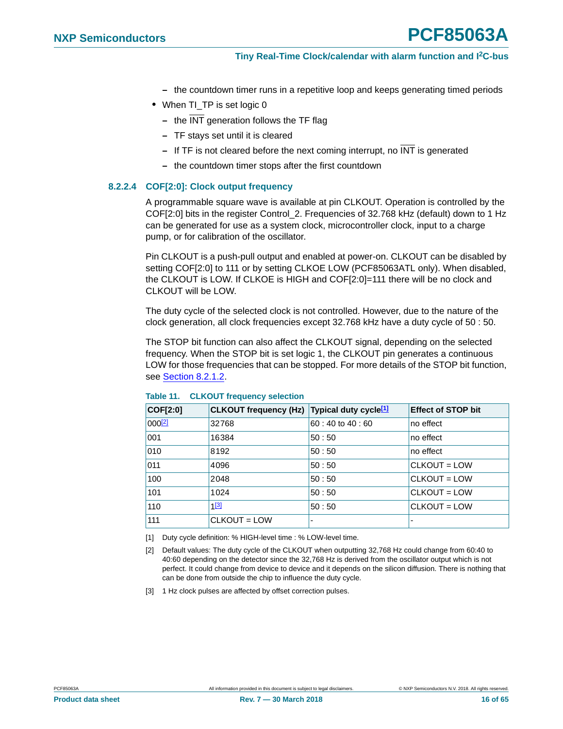- **–** the countdown timer runs in a repetitive loop and keeps generating timed periods
- When TI\_TP is set logic 0
	- **–** the INT generation follows the TF flag
	- **–** TF stays set until it is cleared
	- **–** If TF is not cleared before the next coming interrupt, no INT is generated
	- **–** the countdown timer stops after the first countdown

#### <span id="page-15-3"></span>**8.2.2.4 COF[2:0]: Clock output frequency**

A programmable square wave is available at pin CLKOUT. Operation is controlled by the COF[2:0] bits in the register Control\_2. Frequencies of 32.768 kHz (default) down to 1 Hz can be generated for use as a system clock, microcontroller clock, input to a charge pump, or for calibration of the oscillator.

Pin CLKOUT is a push-pull output and enabled at power-on. CLKOUT can be disabled by setting COF[2:0] to 111 or by setting CLKOE LOW (PCF85063ATL only). When disabled, the CLKOUT is LOW. If CLKOE is HIGH and COF[2:0]=111 there will be no clock and CLKOUT will be LOW.

The duty cycle of the selected clock is not controlled. However, due to the nature of the clock generation, all clock frequencies except 32.768 kHz have a duty cycle of 50 : 50.

The STOP bit function can also affect the CLKOUT signal, depending on the selected frequency. When the STOP bit is set logic 1, the CLKOUT pin generates a continuous LOW for those frequencies that can be stopped. For more details of the STOP bit function, see [Section 8.2.1.2](#page-9-0).

| COF[2:0]           | CLKOUT frequency (Hz) Typical duty cycle <sup>[1]</sup> |                | <b>Effect of STOP bit</b> |
|--------------------|---------------------------------------------------------|----------------|---------------------------|
| 000 <sup>[2]</sup> | 32768                                                   | 60:40 to 40:60 | no effect                 |
| 001                | 16384                                                   | 50:50          | no effect                 |
| 010                | 8192                                                    | 50:50          | no effect                 |
| 011                | 4096                                                    | 50:50          | CLKOUT = LOW              |
| 100                | 2048                                                    | 50:50          | $CLKOUT = LOW$            |
| 101                | 1024                                                    | 50:50          | $CLKOUT = LOW$            |
| 110                | $1^{[3]}$                                               | 50:50          | CLKOUT = LOW              |
| 111                | CLKOUT = LOW                                            | -              | $\overline{\phantom{0}}$  |

#### <span id="page-15-4"></span>**Table 11. CLKOUT frequency selection**

<span id="page-15-0"></span>[1] Duty cycle definition: % HIGH-level time : % LOW-level time.

- <span id="page-15-2"></span>[2] Default values: The duty cycle of the CLKOUT when outputting 32,768 Hz could change from 60:40 to 40:60 depending on the detector since the 32,768 Hz is derived from the oscillator output which is not perfect. It could change from device to device and it depends on the silicon diffusion. There is nothing that can be done from outside the chip to influence the duty cycle.
- <span id="page-15-1"></span>[3] 1 Hz clock pulses are affected by offset correction pulses.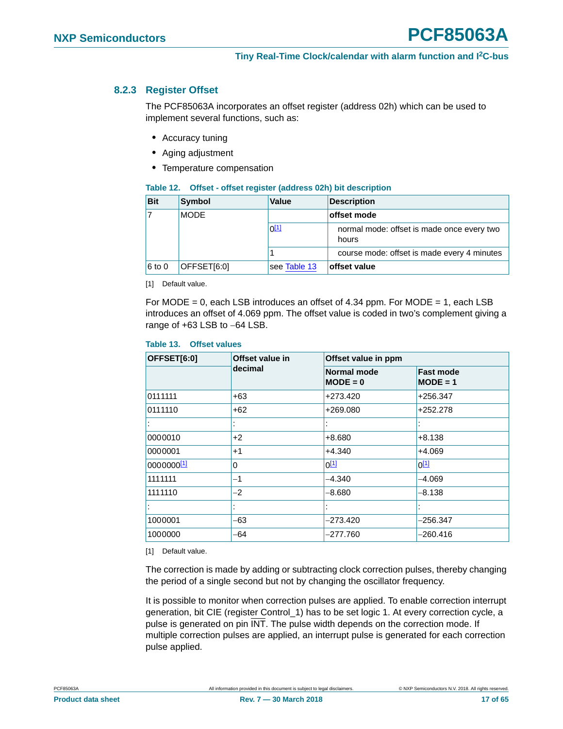### <span id="page-16-1"></span>**8.2.3 Register Offset**

The PCF85063A incorporates an offset register (address 02h) which can be used to implement several functions, such as:

- <span id="page-16-0"></span>**•** Accuracy tuning
- **•** Aging adjustment
- **•** Temperature compensation

<span id="page-16-5"></span>

| Table 12. Offset - offset register (address 02h) bit description |  |  |  |
|------------------------------------------------------------------|--|--|--|
|                                                                  |  |  |  |

| <b>Bit</b> | Symbol      | Value        | <b>Description</b>                                  |
|------------|-------------|--------------|-----------------------------------------------------|
|            | <b>MODE</b> |              | offset mode                                         |
|            |             | $0^{[1]}$    | normal mode: offset is made once every two<br>hours |
|            |             |              | course mode: offset is made every 4 minutes         |
| 6 to 0     | OFFSET[6:0] | see Table 13 | offset value                                        |

<span id="page-16-2"></span>[1] Default value.

For MODE = 0, each LSB introduces an offset of 4.34 ppm. For MODE = 1, each LSB introduces an offset of 4.069 ppm. The offset value is coded in two's complement giving a range of  $+63$  LSB to  $-64$  LSB.

#### <span id="page-16-3"></span>**Table 13. Offset values**

| OFFSET[6:0] | Offset value in | Offset value in ppm              |                                |  |  |
|-------------|-----------------|----------------------------------|--------------------------------|--|--|
|             | decimal         | <b>Normal mode</b><br>$MODE = 0$ | <b>Fast mode</b><br>$MODE = 1$ |  |  |
| 0111111     | $+63$           | +273.420                         | +256.347                       |  |  |
| 0111110     | $+62$           | +269.080                         | +252.278                       |  |  |
|             |                 |                                  |                                |  |  |
| 0000010     | $+2$            | $+8.680$                         | $+8.138$                       |  |  |
| 0000001     | $+1$            | +4.340                           | $+4.069$                       |  |  |
| 0000000[1]  | 0               | $0^{[1]}$                        | $0^{[1]}$                      |  |  |
| 1111111     | $-1$            | -4.340                           | -4.069                         |  |  |
| 1111110     | -2              | $-8.680$                         | $-8.138$                       |  |  |
|             |                 |                                  |                                |  |  |
| 1000001     | -63             | $-273.420$                       | $-256.347$                     |  |  |
| 1000000     | -64             | -277.760                         | -260.416                       |  |  |

<span id="page-16-4"></span>[1] Default value.

The correction is made by adding or subtracting clock correction pulses, thereby changing the period of a single second but not by changing the oscillator frequency.

It is possible to monitor when correction pulses are applied. To enable correction interrupt generation, bit CIE (register Control\_1) has to be set logic 1. At every correction cycle, a pulse is generated on pin INT. The pulse width depends on the correction mode. If multiple correction pulses are applied, an interrupt pulse is generated for each correction pulse applied.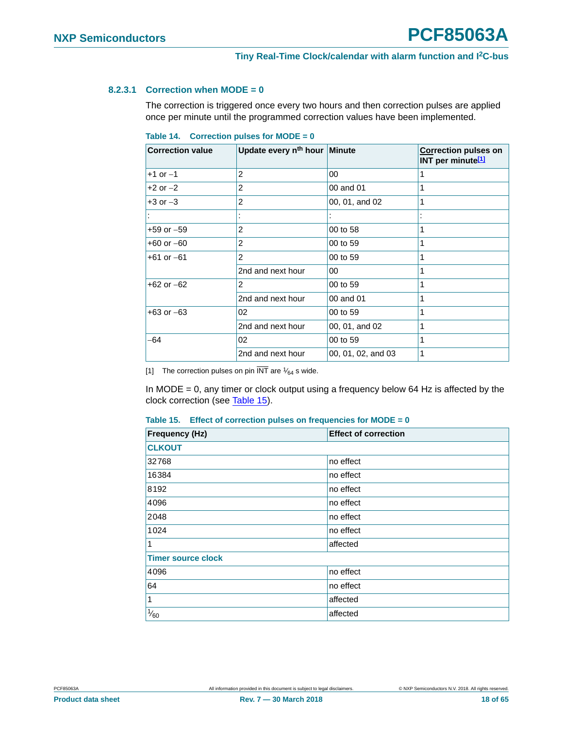#### <span id="page-17-3"></span>**8.2.3.1 Correction when MODE = 0**

The correction is triggered once every two hours and then correction pulses are applied once per minute until the programmed correction values have been implemented.

<span id="page-17-2"></span>

|  | Table 14. Correction pulses for $MODE = 0$ |  |  |  |  |
|--|--------------------------------------------|--|--|--|--|
|--|--------------------------------------------|--|--|--|--|

| <b>Correction value</b> | Update every n <sup>th</sup> hour Minute |                    | <b>Correction pulses on</b><br>INT per minute <sup>[1]</sup> |
|-------------------------|------------------------------------------|--------------------|--------------------------------------------------------------|
| $+1$ or $-1$            | 2                                        | $00\,$             | 1                                                            |
| $+2$ or $-2$            | 2                                        | 00 and 01          | 1                                                            |
| $+3$ or $-3$            | 2                                        | 00, 01, and 02     | 1                                                            |
|                         |                                          |                    |                                                              |
| $+59$ or $-59$          | 2                                        | 00 to 58           | 1                                                            |
| $+60$ or $-60$          | 2                                        | 00 to 59           | 1                                                            |
| $+61$ or $-61$          | 2                                        | 00 to 59           | 1                                                            |
|                         | 2nd and next hour                        | 00                 | 1                                                            |
| $+62$ or $-62$          | 2                                        | 00 to 59           | 1                                                            |
|                         | 2nd and next hour                        | 00 and 01          | 1                                                            |
| $+63$ or $-63$          | 02                                       | 00 to 59           | 1                                                            |
|                         | 2nd and next hour                        | 00, 01, and 02     | 1                                                            |
| -64                     | 02                                       | 00 to 59           | 1                                                            |
|                         | 2nd and next hour                        | 00, 01, 02, and 03 | 1                                                            |

<span id="page-17-0"></span>[1] The correction pulses on pin  $\overline{\text{INT}}$  are  $\frac{1}{64}$  s wide.

In MODE = 0, any timer or clock output using a frequency below 64 Hz is affected by the clock correction (see [Table 15\)](#page-17-1).

<span id="page-17-1"></span>

|  |  |  |  |  | Table 15. Effect of correction pulses on frequencies for MODE = $0$ |
|--|--|--|--|--|---------------------------------------------------------------------|
|--|--|--|--|--|---------------------------------------------------------------------|

| Frequency (Hz)            | <b>Effect of correction</b> |
|---------------------------|-----------------------------|
| <b>CLKOUT</b>             |                             |
| 32768                     | no effect                   |
| 16384                     | no effect                   |
| 8192                      | no effect                   |
| 4096                      | no effect                   |
| 2048                      | no effect                   |
| 1024                      | no effect                   |
| 1                         | affected                    |
| <b>Timer source clock</b> |                             |
| 4096                      | no effect                   |
| 64                        | no effect                   |
| 1                         | affected                    |
| $\frac{1}{60}$            | affected                    |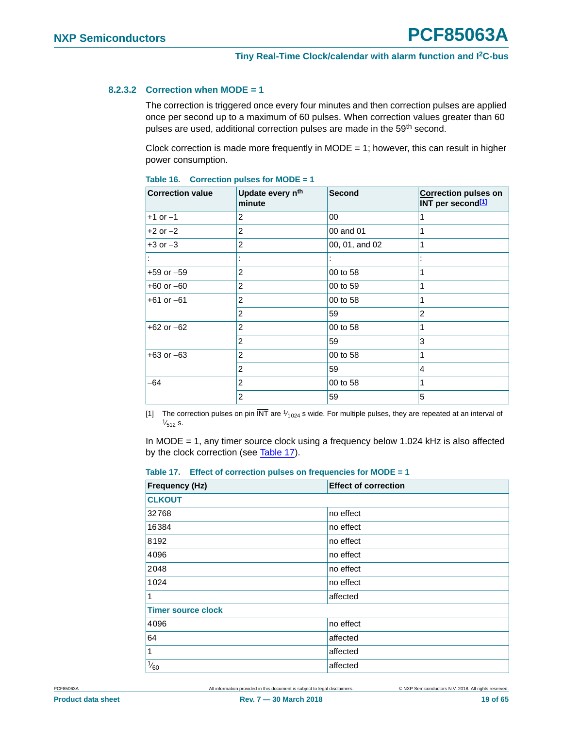#### <span id="page-18-3"></span>**8.2.3.2 Correction when MODE = 1**

The correction is triggered once every four minutes and then correction pulses are applied once per second up to a maximum of 60 pulses. When correction values greater than 60 pulses are used, additional correction pulses are made in the 59<sup>th</sup> second.

Clock correction is made more frequently in MODE = 1; however, this can result in higher power consumption.

| <b>Correction value</b> | Update every n <sup>th</sup><br>minute | <b>Second</b>  | <b>Correction pulses on</b><br>INT per second <sup>[1]</sup> |
|-------------------------|----------------------------------------|----------------|--------------------------------------------------------------|
| $+1$ or $-1$            | 2                                      | 00             | 1                                                            |
| $+2$ or $-2$            | 2                                      | 00 and 01      | 1                                                            |
| $+3$ or $-3$            | $\overline{2}$                         | 00, 01, and 02 | 1                                                            |
|                         |                                        |                |                                                              |
| $+59$ or $-59$          | 2                                      | 00 to 58       | 1                                                            |
| $+60$ or $-60$          | 2                                      | 00 to 59       | 1                                                            |
| $+61$ or $-61$          | 2                                      | 00 to 58       | 1                                                            |
|                         | 2                                      | 59             | $\overline{2}$                                               |
| $+62$ or $-62$          | 2                                      | 00 to 58       | 1                                                            |
|                         | $\overline{2}$                         | 59             | 3                                                            |
| $+63$ or $-63$          | 2                                      | 00 to 58       | 1                                                            |
|                         | 2                                      | 59             | 4                                                            |
| -64                     | 2                                      | 00 to 58       | 1                                                            |
|                         | 2                                      | 59             | 5                                                            |

#### <span id="page-18-2"></span>**Table 16. Correction pulses for MODE = 1**

<span id="page-18-0"></span>[1] The correction pulses on pin  $\overline{\text{INT}}$  are  $\frac{1}{1024}$  s wide. For multiple pulses, they are repeated at an interval of  $\frac{1}{512}$  s.  $\frac{1}{512}$  s.

In MODE = 1, any timer source clock using a frequency below 1.024 kHz is also affected by the clock correction (see [Table 17\)](#page-18-1).

<span id="page-18-1"></span>

|  |  |  |  |  |  | Table 17. Effect of correction pulses on frequencies for MODE = $1$ |
|--|--|--|--|--|--|---------------------------------------------------------------------|
|--|--|--|--|--|--|---------------------------------------------------------------------|

| <b>Frequency (Hz)</b>     | <b>Effect of correction</b> |  |  |  |
|---------------------------|-----------------------------|--|--|--|
| <b>CLKOUT</b>             |                             |  |  |  |
| 32768                     | no effect                   |  |  |  |
| 16384                     | no effect                   |  |  |  |
| 8192                      | no effect                   |  |  |  |
| 4096                      | no effect                   |  |  |  |
| 2048                      | no effect                   |  |  |  |
| 1024                      | no effect                   |  |  |  |
| $\vert$ 1                 | affected                    |  |  |  |
| <b>Timer source clock</b> |                             |  |  |  |
| 4096                      | no effect                   |  |  |  |
| 64                        | affected                    |  |  |  |
| $\vert$ 1                 | affected                    |  |  |  |
| $\frac{1}{60}$            | affected                    |  |  |  |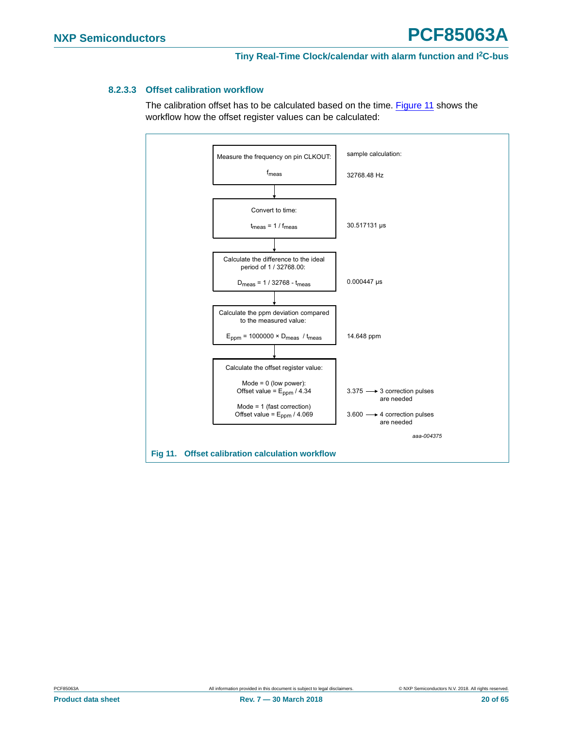#### <span id="page-19-1"></span>**8.2.3.3 Offset calibration workflow**

The calibration offset has to be calculated based on the time. [Figure 11](#page-19-0) shows the workflow how the offset register values can be calculated:

<span id="page-19-0"></span>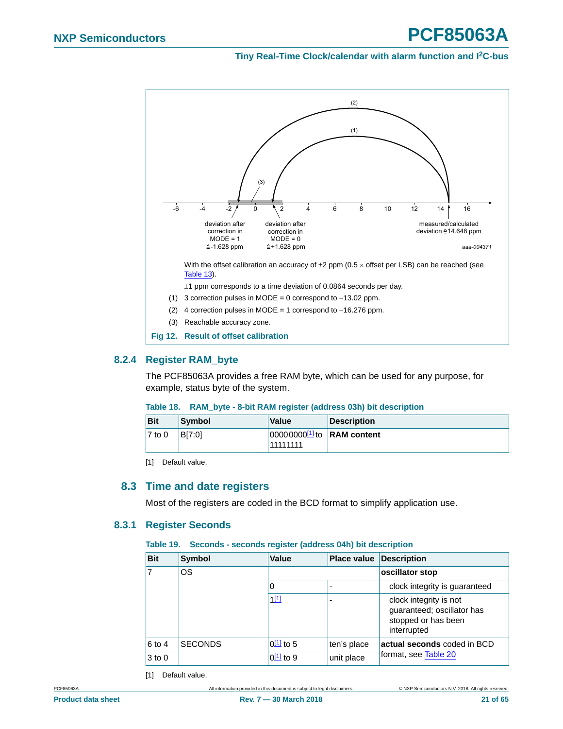<span id="page-20-1"></span><span id="page-20-0"></span>

### <span id="page-20-7"></span><span id="page-20-6"></span>**8.2.4 Register RAM\_byte**

The PCF85063A provides a free RAM byte, which can be used for any purpose, for example, status byte of the system.

#### <span id="page-20-5"></span>**Table 18. RAM\_byte - 8-bit RAM register (address 03h) bit description**

| <b>Bit</b>         | Symbol | <b>Value</b>                               | Description |
|--------------------|--------|--------------------------------------------|-------------|
| $ 7 \text{ to } 0$ | BI7:01 | $ 00000000011 $ to RAM content<br>11111111 |             |

<span id="page-20-4"></span>[1] Default value.

#### <span id="page-20-8"></span>**8.3 Time and date registers**

Most of the registers are coded in the BCD format to simplify application use.

#### <span id="page-20-9"></span>**8.3.1 Register Seconds**

#### <span id="page-20-2"></span>**Table 19. Seconds - seconds register (address 04h) bit description**

| <u>anderson and collection from and a till will andershell</u> |                |                |                    |                                                                                            |  |
|----------------------------------------------------------------|----------------|----------------|--------------------|--------------------------------------------------------------------------------------------|--|
| <b>Bit</b>                                                     | <b>Symbol</b>  | <b>Value</b>   | <b>Place value</b> | <b>Description</b>                                                                         |  |
| 7                                                              | <b>OS</b>      |                |                    | oscillator stop                                                                            |  |
|                                                                |                | 0              | ٠                  | clock integrity is guaranteed                                                              |  |
|                                                                |                | $1^{[1]}$      | $\blacksquare$     | clock integrity is not<br>guaranteed; oscillator has<br>stopped or has been<br>interrupted |  |
| 6 to 4                                                         | <b>SECONDS</b> | $0^{[1]}$ to 5 | ten's place        | actual seconds coded in BCD                                                                |  |
| $3$ to $0$                                                     |                | $0^{[1]}$ to 9 | unit place         | format, see Table 20                                                                       |  |

<span id="page-20-3"></span>[1] Default value.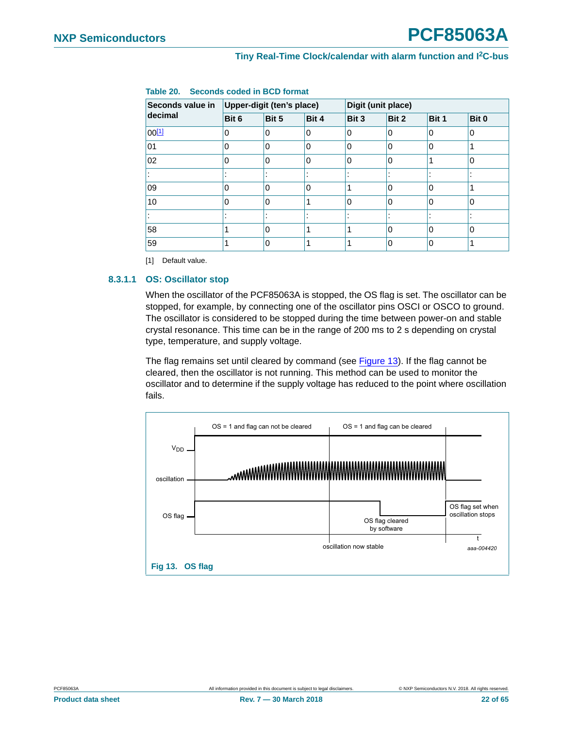| Seconds value in | Upper-digit (ten's place) |             |                          |          | Digit (unit place) |         |          |
|------------------|---------------------------|-------------|--------------------------|----------|--------------------|---------|----------|
| decimal          | Bit 6                     | Bit 5       | Bit 4                    | Bit 3    | Bit 2              | Bit 1   | Bit 0    |
| $00^{[1]}$       | $\Omega$                  | $\mathbf 0$ | 0                        | $\Omega$ | 0                  | 0       | 0        |
| 01               | 0                         | 0           | $\Omega$                 | $\Omega$ | $\mathbf 0$        | 0       |          |
| 02               | 0                         | 0           | 0                        | $\Omega$ | 0                  | ◢       | $\Omega$ |
|                  |                           |             | $\overline{\phantom{a}}$ |          |                    | ٠<br>٠. |          |
| 09               | 0                         | $\Omega$    | 0                        | 1        | $\mathbf{0}$       | 0       |          |
| 10               | 0                         | $\Omega$    |                          | $\Omega$ | 0                  | 0       | $\Omega$ |
|                  | ٠                         | ٠           |                          |          |                    | ٠       |          |
| 58               |                           | $\Omega$    |                          | 1        | 0                  | 0       | $\Omega$ |
| 59               |                           | 0           |                          | 4        | $\mathbf{0}$       | 0       |          |

### <span id="page-21-0"></span>**Table 20. Seconds coded in BCD format**

<span id="page-21-2"></span>[1] Default value.

#### <span id="page-21-3"></span>**8.3.1.1 OS: Oscillator stop**

When the oscillator of the PCF85063A is stopped, the OS flag is set. The oscillator can be stopped, for example, by connecting one of the oscillator pins OSCI or OSCO to ground. The oscillator is considered to be stopped during the time between power-on and stable crystal resonance. This time can be in the range of 200 ms to 2 s depending on crystal type, temperature, and supply voltage.

The flag remains set until cleared by command (see [Figure 13\)](#page-21-1). If the flag cannot be cleared, then the oscillator is not running. This method can be used to monitor the oscillator and to determine if the supply voltage has reduced to the point where oscillation fails.



<span id="page-21-1"></span>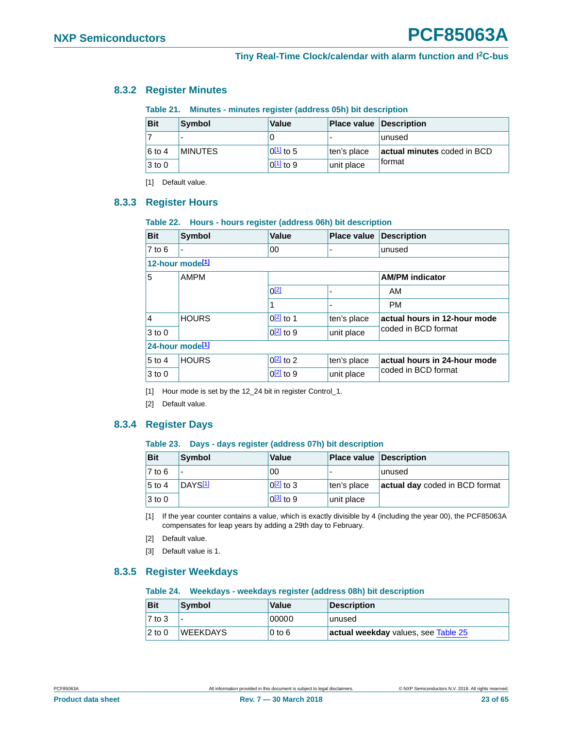#### <span id="page-22-15"></span>**8.3.2 Register Minutes**

<span id="page-22-11"></span><span id="page-22-3"></span><span id="page-22-2"></span><span id="page-22-1"></span><span id="page-22-0"></span>**Table 21. Minutes - minutes register (address 05h) bit description**

| <b>Bit</b> | Symbol         | Value                  | <b>Place value Description</b> |                             |
|------------|----------------|------------------------|--------------------------------|-----------------------------|
|            |                |                        |                                | lunused                     |
| $6$ to 4   | <b>MINUTES</b> | $0\underline{11}$ to 5 | ten's place                    | actual minutes coded in BCD |
| $3$ to 0   |                | $0[1]$ to 9            | unit place                     | ⊺format                     |

<span id="page-22-8"></span>[1] Default value.

### <span id="page-22-4"></span>**8.3.3 Register Hours**

#### <span id="page-22-12"></span>**Table 22. Hours - hours register (address 06h) bit description**

| <b>Bit</b>                  | <b>Symbol</b> | Value            | <b>Place value</b> | <b>Description</b>           |
|-----------------------------|---------------|------------------|--------------------|------------------------------|
| $7$ to $6$                  | ۰             | 00               |                    | unused                       |
| 12-hour mode <sup>[1]</sup> |               |                  |                    |                              |
| 5                           | <b>AMPM</b>   |                  |                    | <b>AM/PM indicator</b>       |
|                             |               | $0^{[2]}$        |                    | AM                           |
|                             |               | 1                |                    | <b>PM</b>                    |
| $\overline{4}$              | <b>HOURS</b>  | $0[2]$ to 1      | ten's place        | actual hours in 12-hour mode |
| $3$ to $0$                  |               | $0\sqrt{2}$ to 9 | unit place         | coded in BCD format          |
| 24-hour mode <sup>[1]</sup> |               |                  |                    |                              |
| $5$ to 4                    | <b>HOURS</b>  | $0\sqrt{2}$ to 2 | ten's place        | actual hours in 24-hour mode |
| $3$ to 0                    |               | $0[2]$ to 9      | unit place         | coded in BCD format          |

<span id="page-22-6"></span>[1] Hour mode is set by the 12\_24 bit in register Control\_1.

<span id="page-22-7"></span>[2] Default value.

### <span id="page-22-16"></span>**8.3.4 Register Days**

#### <span id="page-22-13"></span>**Table 23. Days - days register (address 07h) bit description**

| <b>Bit</b>         | Symbol              | Value            | <b>Place value Description</b> |                                |
|--------------------|---------------------|------------------|--------------------------------|--------------------------------|
| $ 7 \text{ to } 6$ |                     | 00               |                                | unused                         |
| $5$ to 4           | DAYS <sup>[1]</sup> | $0\sqrt{2}$ to 3 | ten's place                    | actual day coded in BCD format |
| $3$ to 0           |                     | $0^{3}$ to 9     | unit place                     |                                |

<span id="page-22-5"></span>[1] If the year counter contains a value, which is exactly divisible by 4 (including the year 00), the PCF85063A compensates for leap years by adding a 29th day to February.

- <span id="page-22-9"></span>[2] Default value.
- <span id="page-22-10"></span>[3] Default value is 1.

#### <span id="page-22-17"></span>**8.3.5 Register Weekdays**

#### <span id="page-22-14"></span>**Table 24. Weekdays - weekdays register (address 08h) bit description**

| <b>Bit</b> | Symbol          | Value    | <b>Description</b>                  |
|------------|-----------------|----------|-------------------------------------|
| 7 to 3     |                 | 00000    | lunused                             |
| $2$ to $0$ | <b>WEEKDAYS</b> | $0$ to 6 | actual weekday values, see Table 25 |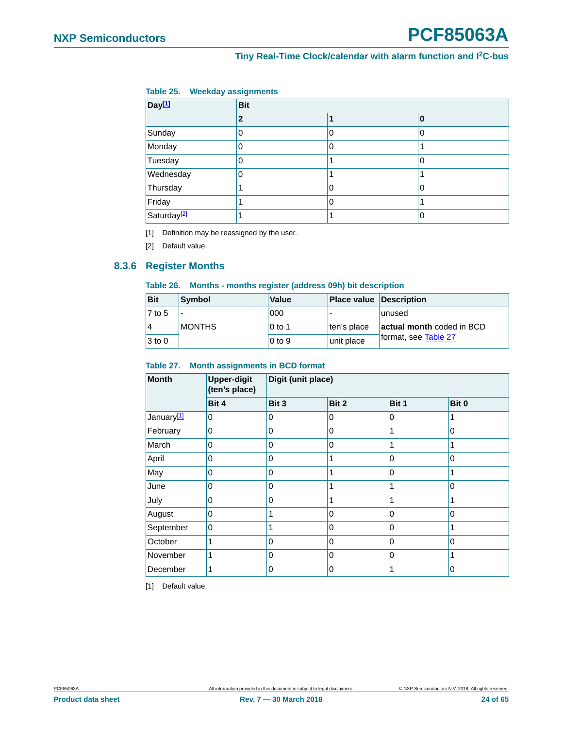### <span id="page-23-1"></span>**Table 25. Weekday assignments**

<span id="page-23-0"></span>

| Day <sup>[1]</sup>      | <b>Bit</b> |   |   |  |  |  |
|-------------------------|------------|---|---|--|--|--|
|                         | 2          |   | 0 |  |  |  |
| Sunday                  |            | 0 | 0 |  |  |  |
| Monday                  | 0          | 0 |   |  |  |  |
| Tuesday                 |            |   | 0 |  |  |  |
| Wednesday               | 0          |   |   |  |  |  |
| Thursday                |            | 0 | 0 |  |  |  |
| Friday                  |            | 0 |   |  |  |  |
| Saturday <sup>[2]</sup> |            |   | 0 |  |  |  |

<span id="page-23-2"></span>[1] Definition may be reassigned by the user.

<span id="page-23-3"></span>[2] Default value.

### <span id="page-23-7"></span>**8.3.6 Register Months**

#### <span id="page-23-6"></span>**Table 26. Months - months register (address 09h) bit description**

| <b>Bit</b> | Symbol        | Value    | <b>Place value Description</b> |                           |
|------------|---------------|----------|--------------------------------|---------------------------|
| $7$ to 5   |               | 000      |                                | lunused                   |
| 14         | <b>MONTHS</b> | l 0 to 1 | ten's place                    | actual month coded in BCD |
| $3$ to 0   |               | $0$ to 9 | unit place                     | ⊺format, see Table 27     |

#### <span id="page-23-4"></span>**Table 27. Month assignments in BCD format**

| <b>Month</b>           | <b>Upper-digit</b><br>(ten's place) | Digit (unit place) |       |             |              |
|------------------------|-------------------------------------|--------------------|-------|-------------|--------------|
|                        | Bit 4                               | Bit 3              | Bit 2 | Bit 1       | Bit 0        |
| January <sup>[1]</sup> | 0                                   | 0                  | 0     | $\mathbf 0$ |              |
| February               | 0                                   | 0                  | 0     | 1           | 0            |
| March                  | 0                                   | 0                  | 0     | 1           |              |
| April                  | 0                                   | 0                  | 1     | $\mathbf 0$ | 0            |
| May                    | 0                                   | 0                  | 1     | $\mathbf 0$ |              |
| June                   | $\Omega$                            | $\Omega$           | 1     | 1           | $\Omega$     |
| July                   | 0                                   | 0                  | 1     | 1           |              |
| August                 | $\Omega$                            | 1                  | 0     | $\mathbf 0$ | $\mathbf{0}$ |
| September              | 0                                   | 1                  | 0     | $\mathbf 0$ |              |
| October                | 1                                   | 0                  | 0     | $\mathbf 0$ | $\mathbf{0}$ |
| November               | 1                                   | 0                  | 0     | $\mathbf 0$ |              |
| December               | 1                                   | 0                  | 0     |             | 0            |

<span id="page-23-5"></span>[1] Default value.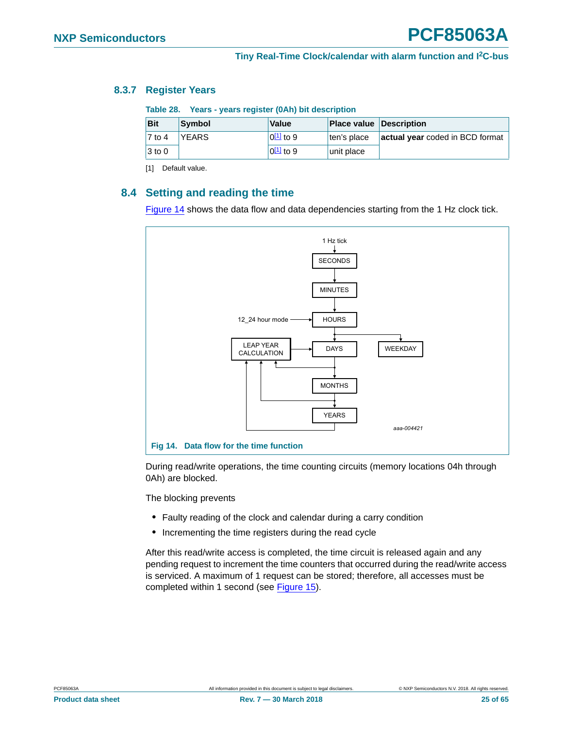#### <span id="page-24-5"></span>**8.3.7 Register Years**

<span id="page-24-4"></span><span id="page-24-1"></span>**Table 28. Years - years register (0Ah) bit description**

| <b>Bit</b>          | Symbol       | <b>Value</b>              | <b>Place value Description</b> |                                 |
|---------------------|--------------|---------------------------|--------------------------------|---------------------------------|
| $\overline{7}$ to 4 | <b>YEARS</b> | $0^{\underline{11}}$ to 9 | ten's place                    | actual year coded in BCD format |
| $ 3 \text{ to } 0$  |              | $0\frac{11}{2}$ to 9      | unit place                     |                                 |

<span id="page-24-3"></span>[1] Default value.

### <span id="page-24-0"></span>**8.4 Setting and reading the time**

[Figure 14](#page-24-2) shows the data flow and data dependencies starting from the 1 Hz clock tick.



<span id="page-24-2"></span>During read/write operations, the time counting circuits (memory locations 04h through 0Ah) are blocked.

The blocking prevents

- **•** Faulty reading of the clock and calendar during a carry condition
- **•** Incrementing the time registers during the read cycle

After this read/write access is completed, the time circuit is released again and any pending request to increment the time counters that occurred during the read/write access is serviced. A maximum of 1 request can be stored; therefore, all accesses must be completed within 1 second (see [Figure 15\)](#page-25-1).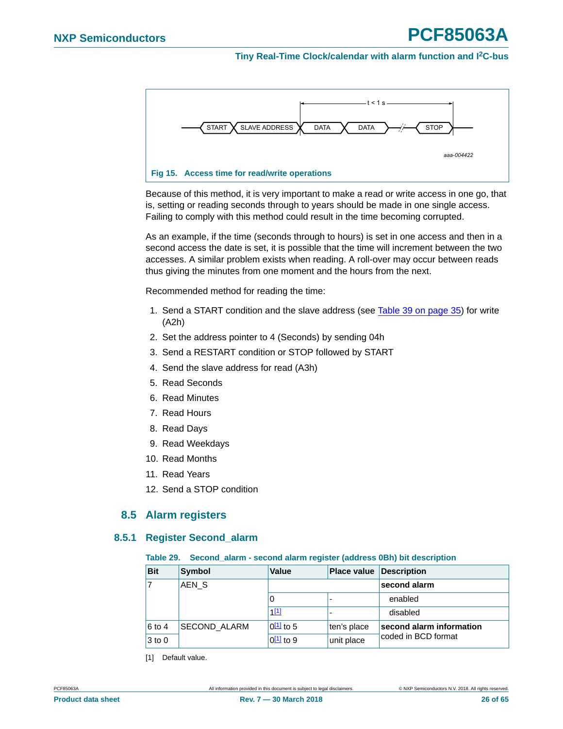<span id="page-25-0"></span>

<span id="page-25-1"></span>Because of this method, it is very important to make a read or write access in one go, that is, setting or reading seconds through to years should be made in one single access. Failing to comply with this method could result in the time becoming corrupted.

As an example, if the time (seconds through to hours) is set in one access and then in a second access the date is set, it is possible that the time will increment between the two accesses. A similar problem exists when reading. A roll-over may occur between reads thus giving the minutes from one moment and the hours from the next.

Recommended method for reading the time:

- 1. Send a START condition and the slave address (see [Table 39 on page 35\)](#page-34-0) for write (A2h)
- 2. Set the address pointer to 4 (Seconds) by sending 04h
- 3. Send a RESTART condition or STOP followed by START
- 4. Send the slave address for read (A3h)
- 5. Read Seconds
- 6. Read Minutes
- 7. Read Hours
- 8. Read Days
- 9. Read Weekdays
- 10. Read Months
- 11. Read Years
- 12. Send a STOP condition

### **8.5 Alarm registers**

#### <span id="page-25-4"></span><span id="page-25-3"></span>**8.5.1 Register Second\_alarm**

#### <span id="page-25-2"></span>**Table 29. Second\_alarm - second alarm register (address 0Bh) bit description**

| <b>Bit</b> | <b>Symbol</b>    | <b>Value</b>   | <b>Place value Description</b> |                          |
|------------|------------------|----------------|--------------------------------|--------------------------|
|            | AEN <sub>S</sub> |                |                                | second alarm             |
|            |                  | 0              | -                              | enabled                  |
|            |                  | $1^{[1]}$      |                                | disabled                 |
| 6 to 4     | SECOND ALARM     | $0^{11}$ to 5  | ten's place                    | second alarm information |
| $3$ to $0$ |                  | $0^{[1]}$ to 9 | unit place                     | coded in BCD format      |

[1] Default value.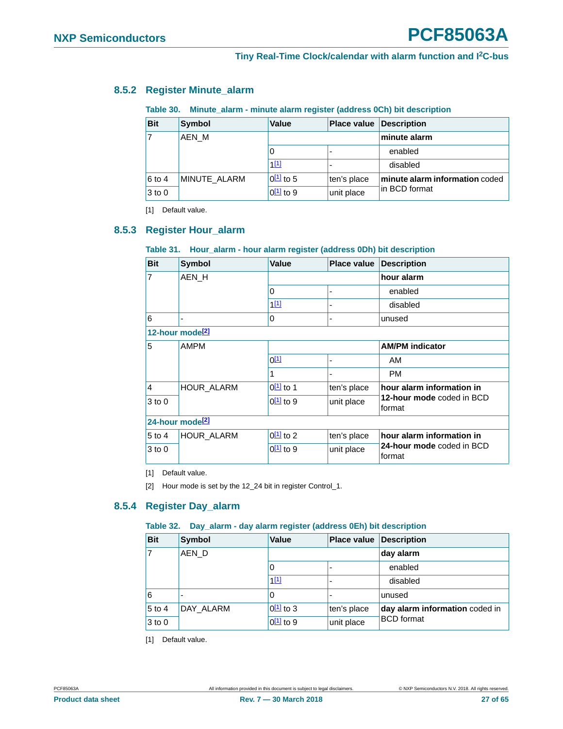### <span id="page-26-11"></span>**8.5.2 Register Minute\_alarm**

#### <span id="page-26-8"></span><span id="page-26-2"></span><span id="page-26-1"></span><span id="page-26-0"></span>**Table 30. Minute\_alarm - minute alarm register (address 0Ch) bit description**

| <b>Bit</b> | Symbol       | <b>Value</b>         | <b>Place value</b> | Description                    |
|------------|--------------|----------------------|--------------------|--------------------------------|
| 17         | AEN M        |                      |                    | minute alarm                   |
|            |              |                      |                    | enabled                        |
|            |              | 1[1]                 |                    | disabled                       |
| $6$ to 4   | MINUTE_ALARM | $0\frac{11}{2}$ to 5 | ten's place        | minute alarm information coded |
| $3$ to 0   |              | $0\sqrt{11}$ to 9    | unit place         | lin BCD format                 |

<span id="page-26-4"></span>[1] Default value.

#### <span id="page-26-3"></span>**8.5.3 Register Hour\_alarm**

#### <span id="page-26-9"></span>**Table 31. Hour\_alarm - hour alarm register (address 0Dh) bit description**

| <b>Bit</b>                  | <b>Symbol</b>     | <b>Value</b><br><b>Place value</b> |             | Description                         |
|-----------------------------|-------------------|------------------------------------|-------------|-------------------------------------|
| $\overline{7}$              | AEN H             |                                    |             | hour alarm                          |
|                             |                   | 0                                  | ٠           | enabled                             |
|                             |                   | 111                                |             | disabled                            |
| 6                           | ۰                 | 0                                  | ۰           | unused                              |
| 12-hour mode <sup>[2]</sup> |                   |                                    |             |                                     |
| 5                           | <b>AMPM</b>       |                                    |             | <b>AM/PM indicator</b>              |
|                             |                   | $0^{[1]}$                          | -           | AM                                  |
|                             |                   | 1                                  | ۰           | <b>PM</b>                           |
| <sup>1</sup> 4              | <b>HOUR ALARM</b> | $0^{[1]}$ to 1                     | ten's place | hour alarm information in           |
| $3$ to $0$                  |                   | $0\sqrt{11}$ to 9                  | unit place  | 12-hour mode coded in BCD<br>format |
| 24-hour mode <sup>[2]</sup> |                   |                                    |             |                                     |
| $5$ to 4                    | HOUR_ALARM        | $0^{[1]}$ to 2                     | ten's place | hour alarm information in           |
| 3 to 0                      |                   | $0^{[1]}$ to 9                     | unit place  | 24-hour mode coded in BCD<br>format |

<span id="page-26-5"></span>[1] Default value.

<span id="page-26-7"></span>[2] Hour mode is set by the 12\_24 bit in register Control\_1.

#### <span id="page-26-12"></span>**8.5.4 Register Day\_alarm**

#### <span id="page-26-10"></span>**Table 32. Day\_alarm - day alarm register (address 0Eh) bit description**

| <b>Bit</b> | Symbol    | Value<br><b>Place value Description</b> |             |                                |
|------------|-----------|-----------------------------------------|-------------|--------------------------------|
|            | AEN D     |                                         |             | day alarm                      |
|            |           | 0                                       |             | enabled                        |
|            |           | 1[1]                                    |             | disabled                       |
| 6          |           | 0                                       |             | unused                         |
| $5$ to 4   | DAY ALARM | $0\frac{11}{2}$ to 3                    | ten's place | day alarm information coded in |
| $3$ to $0$ |           | $0^{11}$ to 9                           | unit place  | <b>BCD</b> format              |

<span id="page-26-6"></span>[1] Default value.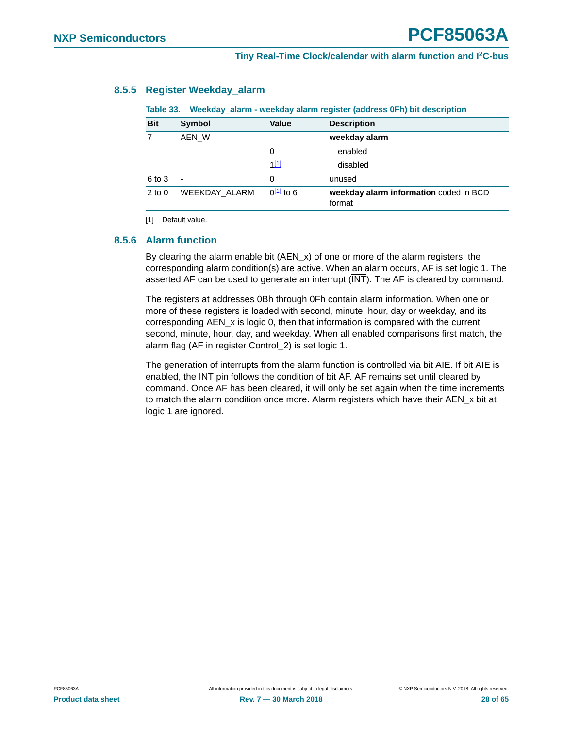### <span id="page-27-4"></span>**8.5.5 Register Weekday\_alarm**

<span id="page-27-3"></span><span id="page-27-0"></span>**Table 33. Weekday\_alarm - weekday alarm register (address 0Fh) bit description**

| <b>Bit</b> | <b>Symbol</b>        | <b>Value</b>              | <b>Description</b>                               |
|------------|----------------------|---------------------------|--------------------------------------------------|
| AEN W      |                      |                           | weekday alarm                                    |
|            |                      | 0                         | enabled                                          |
|            |                      | 1[1]                      | disabled                                         |
| 6 to 3     |                      | 0                         | unused                                           |
| $2$ to $0$ | <b>WEEKDAY ALARM</b> | $0^{\underline{11}}$ to 6 | weekday alarm information coded in BCD<br>format |

<span id="page-27-2"></span>[1] Default value.

#### <span id="page-27-1"></span>**8.5.6 Alarm function**

By clearing the alarm enable bit (AEN\_x) of one or more of the alarm registers, the corresponding alarm condition(s) are active. When an alarm occurs, AF is set logic 1. The asserted AF can be used to generate an interrupt (INT). The AF is cleared by command.

The registers at addresses 0Bh through 0Fh contain alarm information. When one or more of these registers is loaded with second, minute, hour, day or weekday, and its corresponding AEN\_x is logic 0, then that information is compared with the current second, minute, hour, day, and weekday. When all enabled comparisons first match, the alarm flag (AF in register Control\_2) is set logic 1.

The generation of interrupts from the alarm function is controlled via bit AIE. If bit AIE is enabled, the INT pin follows the condition of bit AF. AF remains set until cleared by command. Once AF has been cleared, it will only be set again when the time increments to match the alarm condition once more. Alarm registers which have their AEN\_x bit at logic 1 are ignored.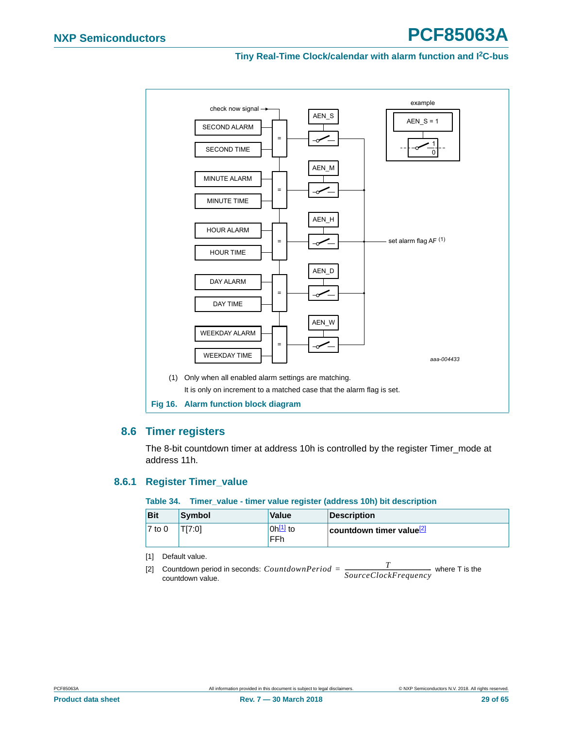<span id="page-28-0"></span>

### <span id="page-28-5"></span><span id="page-28-4"></span>**8.6 Timer registers**

The 8-bit countdown timer at address 10h is controlled by the register Timer\_mode at address 11h.

#### <span id="page-28-6"></span>**8.6.1 Register Timer\_value**

#### <span id="page-28-3"></span>**Table 34. Timer\_value - timer value register (address 10h) bit description**

| <b>Bit</b> | <b>Symbol</b> | <b>Value</b>          | Description                          |
|------------|---------------|-----------------------|--------------------------------------|
| $7$ to 0   | T[7:0]        | $0h^{[1]}$ to<br>'FFh | countdown timer value <sup>[2]</sup> |

<span id="page-28-1"></span>[1] Default value.

<span id="page-28-2"></span>[2] Countdown period in seconds:  $CountdownPeriod = \frac{T}{SourceClockFrequency}$  where T is the countdown value countdown value.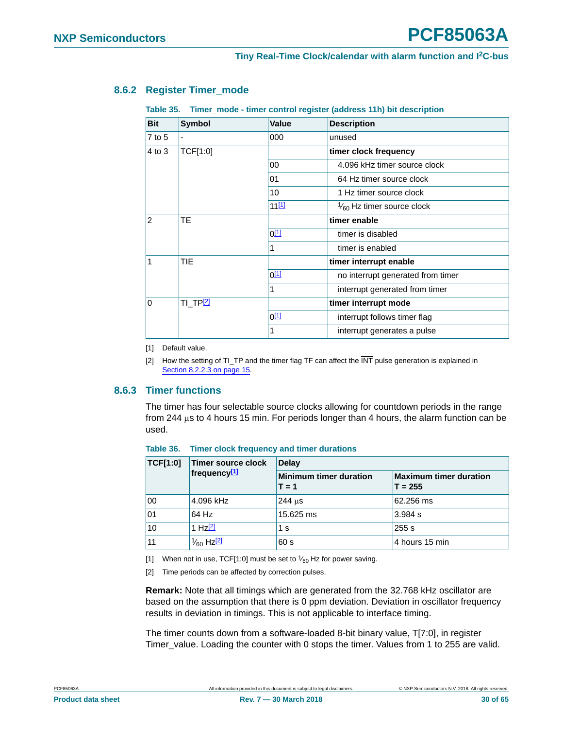#### <span id="page-29-2"></span>**8.6.2 Register Timer\_mode**

<span id="page-29-7"></span>**Table 35. Timer\_mode - timer control register (address 11h) bit description**

<span id="page-29-0"></span>

| <b>Bit</b>     | <b>Symbol</b>   | <b>Value</b> | <b>Description</b>                   |
|----------------|-----------------|--------------|--------------------------------------|
| $7$ to $5$     |                 | 000          | unused                               |
| 4 to 3         | TCF[1:0]        |              | timer clock frequency                |
|                |                 | 00           | 4.096 kHz timer source clock         |
|                |                 | 01           | 64 Hz timer source clock             |
|                |                 | 10           | 1 Hz timer source clock              |
|                |                 | 11[1]        | $\frac{1}{60}$ Hz timer source clock |
| $\overline{2}$ | <b>TE</b>       |              | timer enable                         |
|                |                 | $0^{[1]}$    | timer is disabled                    |
|                |                 | 1            | timer is enabled                     |
| 1              | <b>TIE</b>      |              | timer interrupt enable               |
|                |                 | $0^{[1]}$    | no interrupt generated from timer    |
|                |                 | 1            | interrupt generated from timer       |
| $\Omega$       | <b>TI_TP[2]</b> |              | timer interrupt mode                 |
|                |                 | $0^{[1]}$    | interrupt follows timer flag         |
|                |                 | 1            | interrupt generates a pulse          |

<span id="page-29-3"></span>[1] Default value.

<span id="page-29-4"></span>[2] How the setting of TI\_TP and the timer flag TF can affect the INT pulse generation is explained in [Section 8.2.2.3 on page 15.](#page-14-0)

#### <span id="page-29-1"></span>**8.6.3 Timer functions**

The timer has four selectable source clocks allowing for countdown periods in the range from 244  $\mu$ s to 4 hours 15 min. For periods longer than 4 hours, the alarm function can be used.

| <b>TCF[1:0]</b> | Timer source clock               | <b>Delay</b>                             |                                            |  |  |  |
|-----------------|----------------------------------|------------------------------------------|--------------------------------------------|--|--|--|
|                 | frequency <sup>[1]</sup>         | <b>Minimum timer duration</b><br>$T = 1$ | <b>Maximum timer duration</b><br>$T = 255$ |  |  |  |
| 00              | 4.096 kHz                        | $244$ us                                 | 62.256 ms                                  |  |  |  |
| 01              | 64 Hz                            | 15.625 ms                                | 3.984 s                                    |  |  |  |
| 10              | 1 H <sub>7</sub> $[2]$           | 1 s                                      | 255s                                       |  |  |  |
| 11              | $\frac{1}{60}$ Hz <sup>[2]</sup> | 60 s                                     | 4 hours 15 min                             |  |  |  |

#### <span id="page-29-8"></span>**Table 36. Timer clock frequency and timer durations**

<span id="page-29-5"></span>[1] When not in use, TCF[1:0] must be set to  $\frac{1}{60}$  Hz for power saving.

<span id="page-29-6"></span>[2] Time periods can be affected by correction pulses.

**Remark:** Note that all timings which are generated from the 32.768 kHz oscillator are based on the assumption that there is 0 ppm deviation. Deviation in oscillator frequency results in deviation in timings. This is not applicable to interface timing.

The timer counts down from a software-loaded 8-bit binary value, T[7:0], in register Timer\_value. Loading the counter with 0 stops the timer. Values from 1 to 255 are valid.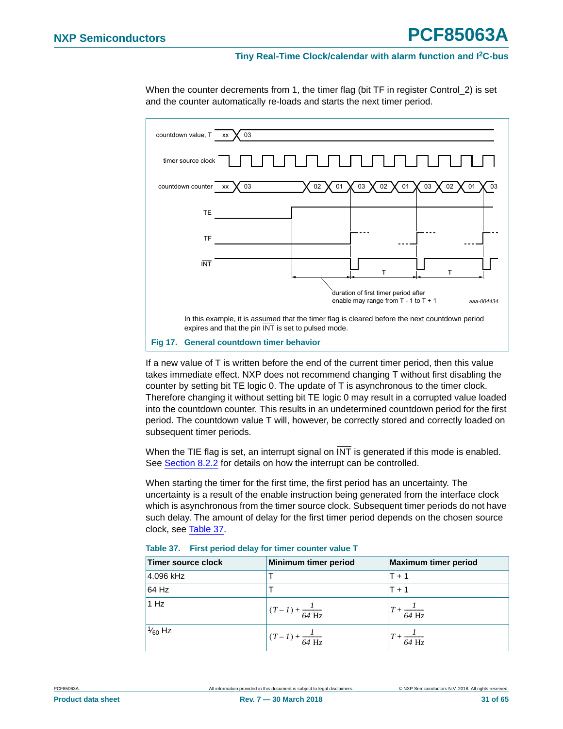



<span id="page-30-1"></span>If a new value of T is written before the end of the current timer period, then this value takes immediate effect. NXP does not recommend changing T without first disabling the counter by setting bit TE logic 0. The update of T is asynchronous to the timer clock. Therefore changing it without setting bit TE logic 0 may result in a corrupted value loaded into the countdown counter. This results in an undetermined countdown period for the first period. The countdown value T will, however, be correctly stored and correctly loaded on subsequent timer periods.

When the TIE flag is set, an interrupt signal on  $\overline{\text{INT}}$  is generated if this mode is enabled. See [Section 8.2.2](#page-12-1) for details on how the interrupt can be controlled.

When starting the timer for the first time, the first period has an uncertainty. The uncertainty is a result of the enable instruction being generated from the interface clock which is asynchronous from the timer source clock. Subsequent timer periods do not have such delay. The amount of delay for the first timer period depends on the chosen source clock, see [Table 37](#page-30-0).

| Timer source clock | Minimum timer period              | <b>Maximum timer period</b>   |
|--------------------|-----------------------------------|-------------------------------|
| 4.096 kHz          |                                   | $T + 1$                       |
| 64 Hz              |                                   | $T + 1$                       |
| 1 Hz               | $(T-I) + \frac{I}{64 \text{ Hz}}$ | $T + \frac{I}{64 \text{ Hz}}$ |
| $\frac{1}{60}$ Hz  | $(T-I) + \frac{1}{64 \text{ Hz}}$ | $T + \frac{I}{64 \text{ Hz}}$ |

<span id="page-30-0"></span>

| Table 37. First period delay for timer counter value T |  |  |  |  |  |  |  |  |
|--------------------------------------------------------|--|--|--|--|--|--|--|--|
|--------------------------------------------------------|--|--|--|--|--|--|--|--|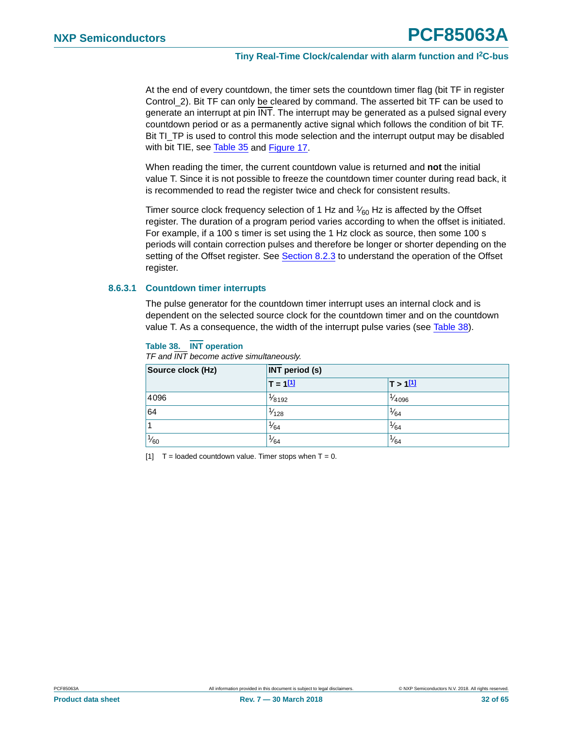At the end of every countdown, the timer sets the countdown timer flag (bit TF in register Control\_2). Bit TF can only be cleared by command. The asserted bit TF can be used to generate an interrupt at pin INT. The interrupt may be generated as a pulsed signal every countdown period or as a permanently active signal which follows the condition of bit TF. Bit TI\_TP is used to control this mode selection and the interrupt output may be disabled with bit TIE, see [Table 35](#page-29-7) and [Figure 17.](#page-30-1)

When reading the timer, the current countdown value is returned and **not** the initial value T. Since it is not possible to freeze the countdown timer counter during read back, it is recommended to read the register twice and check for consistent results.

Timer source clock frequency selection of 1 Hz and  $\frac{1}{60}$  Hz is affected by the Offset register. The duration of a program period varies according to when the offset is initiated. For example, if a 100 s timer is set using the 1 Hz clock as source, then some 100 s periods will contain correction pulses and therefore be longer or shorter depending on the setting of the Offset register. See [Section 8.2.3](#page-16-1) to understand the operation of the Offset register.

#### <span id="page-31-2"></span>**8.6.3.1 Countdown timer interrupts**

The pulse generator for the countdown timer interrupt uses an internal clock and is dependent on the selected source clock for the countdown timer and on the countdown value T. As a consequence, the width of the interrupt pulse varies (see [Table 38](#page-31-0)).

#### <span id="page-31-0"></span>**Table 38. INT operation**

| Source clock (Hz) | <b>INT period (s)</b> |                  |  |  |  |
|-------------------|-----------------------|------------------|--|--|--|
|                   | $T = 111$             | T > 111          |  |  |  |
| 4096              | $\frac{1}{8192}$      | $\frac{1}{4096}$ |  |  |  |
| 64                | $\frac{1}{128}$       | $\frac{1}{64}$   |  |  |  |
| $\overline{1}$    | $\frac{1}{64}$        | $\frac{1}{64}$   |  |  |  |
| $\frac{1}{60}$    | $\frac{1}{64}$        | $\frac{1}{64}$   |  |  |  |

*TF and INT become active simultaneously.*

<span id="page-31-1"></span>[1]  $T =$  loaded countdown value. Timer stops when  $T = 0$ .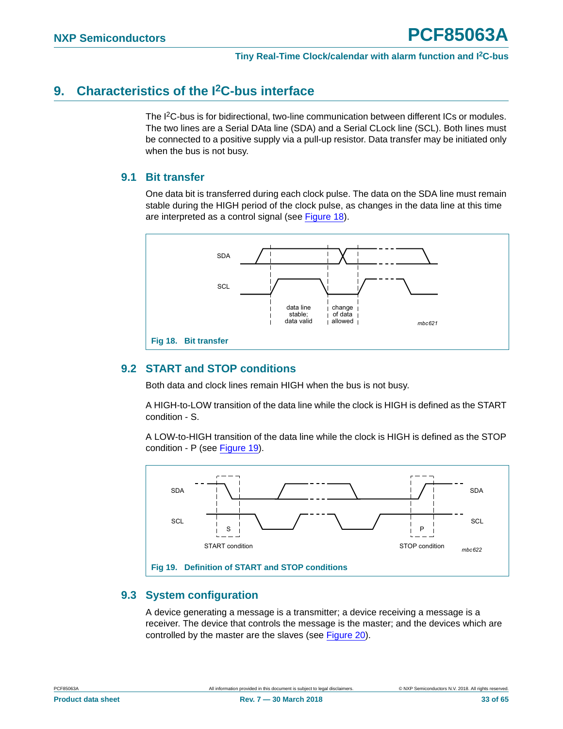## <span id="page-32-2"></span>**9. Characteristics of the I2C-bus interface**

The I<sup>2</sup>C-bus is for bidirectional, two-line communication between different ICs or modules. The two lines are a Serial DAta line (SDA) and a Serial CLock line (SCL). Both lines must be connected to a positive supply via a pull-up resistor. Data transfer may be initiated only when the bus is not busy.

### <span id="page-32-3"></span>**9.1 Bit transfer**

One data bit is transferred during each clock pulse. The data on the SDA line must remain stable during the HIGH period of the clock pulse, as changes in the data line at this time are interpreted as a control signal (see [Figure 18](#page-32-0)).



### <span id="page-32-4"></span><span id="page-32-0"></span>**9.2 START and STOP conditions**

Both data and clock lines remain HIGH when the bus is not busy.

A HIGH-to-LOW transition of the data line while the clock is HIGH is defined as the START condition - S.

A LOW-to-HIGH transition of the data line while the clock is HIGH is defined as the STOP condition - P (see [Figure 19](#page-32-1)).



### <span id="page-32-5"></span><span id="page-32-1"></span>**9.3 System configuration**

A device generating a message is a transmitter; a device receiving a message is a receiver. The device that controls the message is the master; and the devices which are controlled by the master are the slaves (see [Figure 20](#page-33-0)).

$$
\mathsf{PCF85063A} \qquad \qquad
$$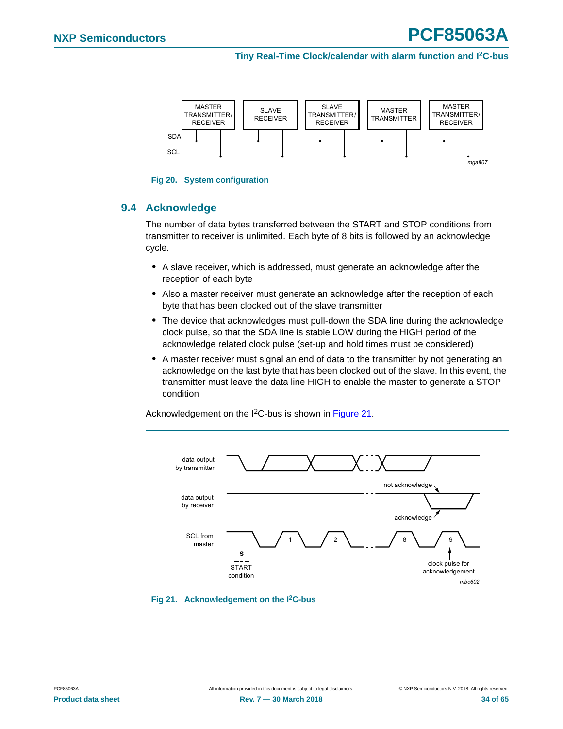

### <span id="page-33-2"></span><span id="page-33-0"></span>**9.4 Acknowledge**

The number of data bytes transferred between the START and STOP conditions from transmitter to receiver is unlimited. Each byte of 8 bits is followed by an acknowledge cycle.

- **•** A slave receiver, which is addressed, must generate an acknowledge after the reception of each byte
- **•** Also a master receiver must generate an acknowledge after the reception of each byte that has been clocked out of the slave transmitter
- **•** The device that acknowledges must pull-down the SDA line during the acknowledge clock pulse, so that the SDA line is stable LOW during the HIGH period of the acknowledge related clock pulse (set-up and hold times must be considered)
- **•** A master receiver must signal an end of data to the transmitter by not generating an acknowledge on the last byte that has been clocked out of the slave. In this event, the transmitter must leave the data line HIGH to enable the master to generate a STOP condition

Acknowledgement on the I<sup>2</sup>C-bus is shown in [Figure 21](#page-33-1).

<span id="page-33-1"></span>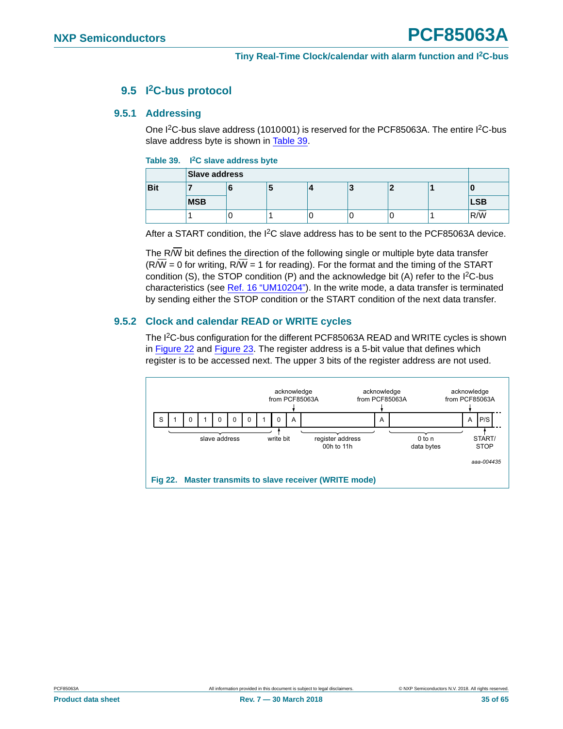### **9.5 I2C-bus protocol**

### <span id="page-34-3"></span><span id="page-34-2"></span>**9.5.1 Addressing**

One I<sup>2</sup>C-bus slave address (1010001) is reserved for the PCF85063A. The entire I<sup>2</sup>C-bus slave address byte is shown in [Table 39.](#page-34-0)

#### <span id="page-34-0"></span>**Table 39. I2C slave address byte**

|            | Slave address |  |  |  |   |  |  |            |
|------------|---------------|--|--|--|---|--|--|------------|
| <b>Bit</b> |               |  |  |  | w |  |  |            |
|            | <b>MSB</b>    |  |  |  |   |  |  | <b>LSB</b> |
|            |               |  |  |  |   |  |  | R/W        |

After a START condition, the  $1<sup>2</sup>C$  slave address has to be sent to the PCF85063A device.

The R/ $\overline{W}$  bit defines the direction of the following single or multiple byte data transfer  $(R/W = 0$  for writing,  $R/W = 1$  for reading). For the format and the timing of the START condition  $(S)$ , the STOP condition  $(P)$  and the acknowledge bit  $(A)$  refer to the  $I<sup>2</sup>C-bus$ characteristics (see [Ref. 16 "UM10204"](#page-58-0)). In the write mode, a data transfer is terminated by sending either the STOP condition or the START condition of the next data transfer.

### <span id="page-34-4"></span>**9.5.2 Clock and calendar READ or WRITE cycles**

The I<sup>2</sup>C-bus configuration for the different PCF85063A READ and WRITE cycles is shown in [Figure 22](#page-34-1) and [Figure 23.](#page-35-0) The register address is a 5-bit value that defines which register is to be accessed next. The upper 3 bits of the register address are not used.

<span id="page-34-1"></span>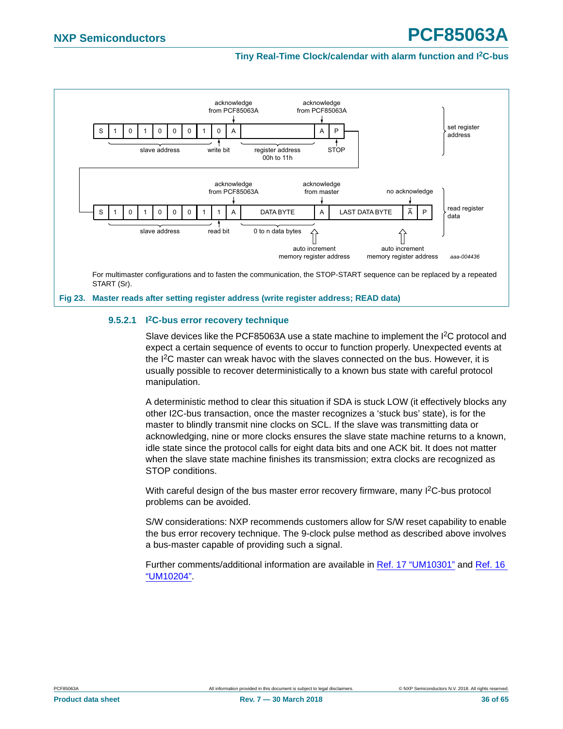

#### <span id="page-35-1"></span><span id="page-35-0"></span>**9.5.2.1 I2C-bus error recovery technique**

Slave devices like the PCF85063A use a state machine to implement the  $l^2C$  protocol and expect a certain sequence of events to occur to function properly. Unexpected events at the  $I<sup>2</sup>C$  master can wreak havoc with the slaves connected on the bus. However, it is usually possible to recover deterministically to a known bus state with careful protocol manipulation.

A deterministic method to clear this situation if SDA is stuck LOW (it effectively blocks any other I2C-bus transaction, once the master recognizes a 'stuck bus' state), is for the master to blindly transmit nine clocks on SCL. If the slave was transmitting data or acknowledging, nine or more clocks ensures the slave state machine returns to a known, idle state since the protocol calls for eight data bits and one ACK bit. It does not matter when the slave state machine finishes its transmission; extra clocks are recognized as STOP conditions.

With careful design of the bus master error recovery firmware, many I<sup>2</sup>C-bus protocol problems can be avoided.

S/W considerations: NXP recommends customers allow for S/W reset capability to enable the bus error recovery technique. The 9-clock pulse method as described above involves a bus-master capable of providing such a signal.

Further comments/additional information are available in [Ref. 17 "UM10301"](#page-58-1) and [Ref. 16](#page-58-0)  ["UM10204"](#page-58-0).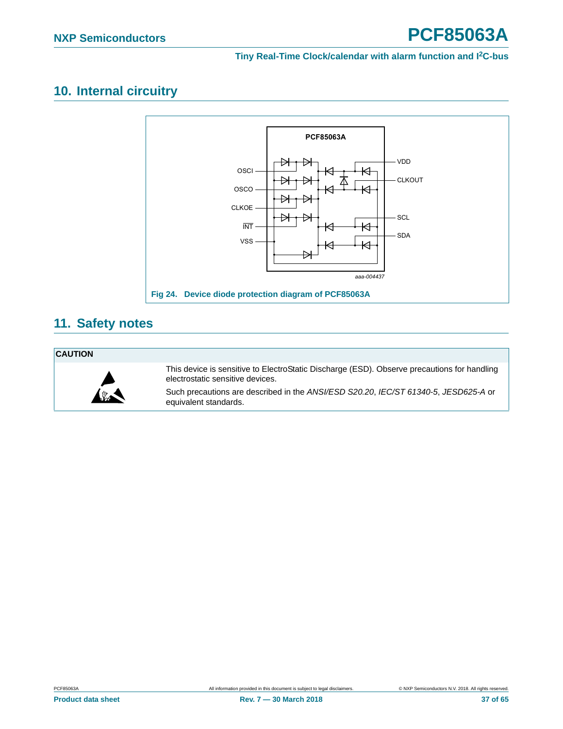## <span id="page-36-1"></span>**10. Internal circuitry**



## <span id="page-36-2"></span>**11. Safety notes**

#### **CAUTION**



<span id="page-36-0"></span>This device is sensitive to ElectroStatic Discharge (ESD). Observe precautions for handling electrostatic sensitive devices.

Such precautions are described in the *ANSI/ESD S20.20*, *IEC/ST 61340-5*, *JESD625-A* or equivalent standards.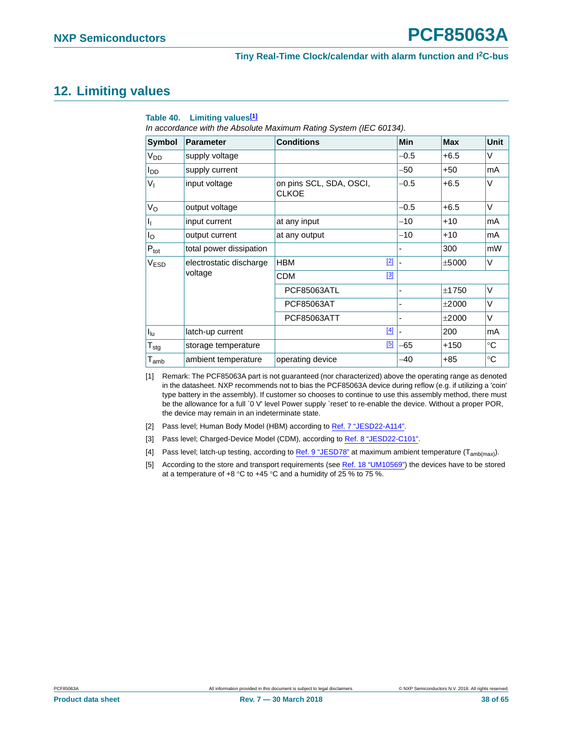## <span id="page-37-6"></span>**12. Limiting values**

| <b>Symbol</b>               | <b>Parameter</b>        | <b>Conditions</b>                       | <b>Min</b> | Max        | Unit        |
|-----------------------------|-------------------------|-----------------------------------------|------------|------------|-------------|
| <b>V<sub>DD</sub></b>       | supply voltage          |                                         | $-0.5$     | $+6.5$     | $\vee$      |
| l <sub>DD</sub>             | supply current          |                                         | -50        | $+50$      | mA          |
| $V_{I}$                     | input voltage           | on pins SCL, SDA, OSCI,<br><b>CLKOE</b> | $-0.5$     | $+6.5$     | $\vee$      |
| $V_{\rm O}$                 | output voltage          |                                         | $-0.5$     | $+6.5$     | $\vee$      |
| 4                           | input current           | at any input                            | $-10$      | $+10$      | mA          |
| l <sub>O</sub>              | output current          | at any output                           | $-10$      | $+10$      | mA          |
| $P_{\text{tot}}$            | total power dissipation |                                         |            | 300        | mW          |
| V <sub>ESD</sub>            | electrostatic discharge | <b>HBM</b>                              | $[2]$      | ±5000      | V           |
|                             | voltage                 | <b>CDM</b>                              | [3]        |            |             |
|                             |                         | <b>PCF85063ATL</b>                      |            | ±1750      | $\vee$      |
|                             |                         | PCF85063AT                              |            | $\pm 2000$ | $\vee$      |
|                             |                         | <b>PCF85063ATT</b>                      |            | ±2000      | $\vee$      |
| I <sub>lu</sub>             | latch-up current        |                                         | $[4]$      | 200        | mA          |
| $T_{\text{stg}}$            | storage temperature     |                                         | [5]<br>-65 | $+150$     | $^{\circ}C$ |
| $\mathsf{T}_{\mathsf{amb}}$ | ambient temperature     | operating device                        | -40        | $+85$      | $^{\circ}C$ |

#### <span id="page-37-5"></span>**Table 40. Limiting values[\[1\]](#page-37-0)**

*In accordance with the Absolute Maximum Rating System (IEC 60134).*

<span id="page-37-0"></span>[1] Remark: The PCF85063A part is not guaranteed (nor characterized) above the operating range as denoted in the datasheet. NXP recommends not to bias the PCF85063A device during reflow (e.g. if utilizing a 'coin' type battery in the assembly). If customer so chooses to continue to use this assembly method, there must be the allowance for a full `0 V' level Power supply `reset' to re-enable the device. Without a proper POR, the device may remain in an indeterminate state.

- <span id="page-37-1"></span>[2] Pass level; Human Body Model (HBM) according to [Ref. 7 "JESD22-A114".](#page-58-5)
- <span id="page-37-2"></span>[3] Pass level; Charged-Device Model (CDM), according to [Ref. 8 "JESD22-C101"](#page-58-2).
- <span id="page-37-3"></span>[4] Pass level; latch-up testing, according to [Ref. 9 "JESD78"](#page-58-3) at maximum ambient temperature (T<sub>amb(max</sub>).
- <span id="page-37-4"></span>[5] According to the store and transport requirements (see [Ref. 18 "UM10569"](#page-58-4)) the devices have to be stored at a temperature of  $+8$  °C to  $+45$  °C and a humidity of 25 % to 75 %.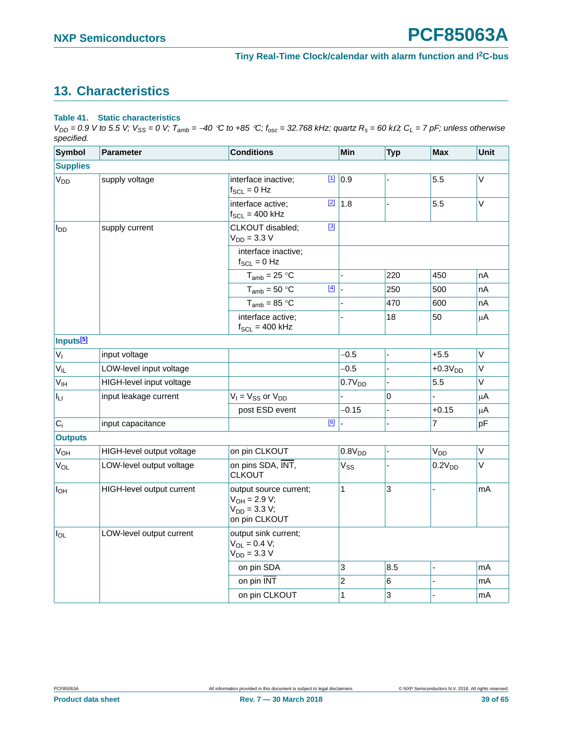## <span id="page-38-1"></span>**13. Characteristics**

### <span id="page-38-0"></span>**Table 41. Static characteristics**

 $V_{DD} = 0.9$  V to 5.5 V;  $V_{SS} = 0$  V;  $T_{amb} = -40$  °C to +85 °C;  $f_{osc} = 32.768$  kHz; quartz  $R_s = 60$  k $\Omega$ ;  $C_L = 7$  pF; unless otherwise *specified.*

| <b>Symbol</b>              | <b>Parameter</b>          | <b>Conditions</b>                                                                 |             | <b>Min</b>         | <b>Typ</b> | <b>Max</b>            | Unit        |
|----------------------------|---------------------------|-----------------------------------------------------------------------------------|-------------|--------------------|------------|-----------------------|-------------|
| <b>Supplies</b>            |                           |                                                                                   |             |                    |            |                       |             |
| V <sub>DD</sub>            | supply voltage            | interface inactive;<br>$f_{SCL} = 0$ Hz                                           | $\boxed{1}$ | 0.9                |            | 5.5                   | $\vee$      |
|                            |                           | interface active;<br>$f_{SCL} = 400$ kHz                                          | $[2]$       | 1.8                |            | 5.5                   | $\vee$      |
| l <sub>DD</sub>            | supply current            | CLKOUT disabled;<br>$V_{DD} = 3.3 V$                                              | $[3]$       |                    |            |                       |             |
|                            |                           | interface inactive;<br>$f_{SCL} = 0$ Hz                                           |             |                    |            |                       |             |
|                            |                           | $T_{amb}$ = 25 °C                                                                 |             |                    | 220        | 450                   | nA          |
|                            |                           | $T_{amb} = 50 °C$                                                                 | $[4]$       |                    | 250        | 500                   | nA          |
|                            |                           | $T_{amb}$ = 85 °C                                                                 |             |                    | 470        | 600                   | nA          |
|                            |                           | interface active;<br>$f_{SCL} = 400$ kHz                                          |             |                    | 18         | 50                    | $\mu$ A     |
| Inputs <sup>[5]</sup>      |                           |                                                                                   |             |                    |            |                       |             |
| $V_{I}$                    | input voltage             |                                                                                   |             | $-0.5$             |            | $+5.5$                | $\mathsf V$ |
| $V_{IL}$                   | LOW-level input voltage   |                                                                                   |             | $-0.5$             |            | $+0.3VDD$             | $\vee$      |
| $\mathsf{V}_{\mathsf{IH}}$ | HIGH-level input voltage  |                                                                                   |             | 0.7V <sub>DD</sub> |            | 5.5                   | V           |
| Ιu                         | input leakage current     | $V_1 = V_{SS}$ or $V_{DD}$                                                        |             |                    | 0          |                       | $\mu$ A     |
|                            |                           | post ESD event                                                                    |             | $-0.15$            |            | $+0.15$               | $\mu$ A     |
| $C_i$                      | input capacitance         |                                                                                   | [6]         |                    |            | $\overline{7}$        | pF          |
| <b>Outputs</b>             |                           |                                                                                   |             |                    |            |                       |             |
| V <sub>OH</sub>            | HIGH-level output voltage | on pin CLKOUT                                                                     |             | 0.8V <sub>DD</sub> |            | <b>V<sub>DD</sub></b> | $\mathsf V$ |
| $V_{OL}$                   | LOW-level output voltage  | on pins SDA, INT,<br><b>CLKOUT</b>                                                |             | $V_{SS}$           |            | 0.2V <sub>DD</sub>    | V           |
| $I_{OH}$                   | HIGH-level output current | output source current;<br>$V_{OH} = 2.9 V;$<br>$V_{DD} = 3.3 V;$<br>on pin CLKOUT |             | 1                  | 3          | $\overline{a}$        | mA          |
| $I_{OL}$                   | LOW-level output current  | output sink current;<br>$V_{OL} = 0.4 V;$<br>$V_{DD} = 3.3 V$                     |             |                    |            |                       |             |
|                            |                           | on pin SDA                                                                        |             | 3                  | 8.5        | ÷,                    | mA          |
|                            |                           | on pin INT                                                                        |             | 2                  | 6          |                       | mA          |
|                            |                           | on pin CLKOUT                                                                     |             | 1                  | 3          |                       | mA          |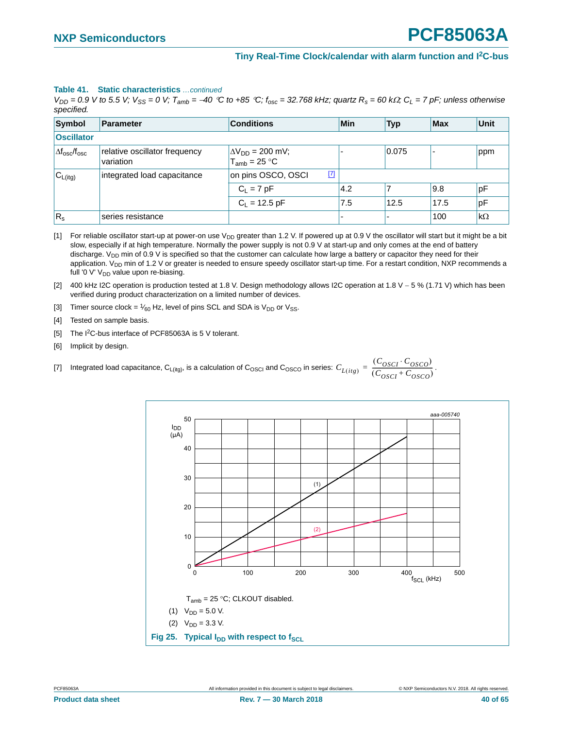#### **Table 41. Static characteristics** *…continued*

 $V_{DD}$  = 0.9 V to 5.5 V;  $V_{SS}$  = 0 V;  $T_{amb}$  = -40 °C to +85 °C;  $f_{osc}$  = 32.768 kHz; quartz  $R_s$  = 60 k $\Omega$ ;  $C_L$  = 7 pF; unless otherwise *specified.*

| Symbol                           | Parameter                                  | <b>Conditions</b>                              | Min | <b>Typ</b> | <b>Max</b> | Unit      |
|----------------------------------|--------------------------------------------|------------------------------------------------|-----|------------|------------|-----------|
| <b>Oscillator</b>                |                                            |                                                |     |            |            |           |
| $\Delta f_{\rm osc}/f_{\rm osc}$ | relative oscillator frequency<br>variation | $\Delta V_{DD} = 200$ mV;<br>$T_{amb}$ = 25 °C |     | 0.075      |            | ppm       |
| $ C_{L(itg)} $                   | integrated load capacitance                | $[7]$<br>on pins OSCO, OSCI                    |     |            |            |           |
|                                  |                                            | $C_1 = 7 pF$                                   | 4.2 |            | 9.8        | pF        |
|                                  |                                            | $C_L$ = 12.5 pF                                | 7.5 | 12.5       | 17.5       | pF        |
| $R_{\rm s}$                      | series resistance                          |                                                | -   |            | 100        | $k\Omega$ |

<span id="page-39-0"></span>[1] For reliable oscillator start-up at power-on use  $V_{DD}$  greater than 1.2 V. If powered up at 0.9 V the oscillator will start but it might be a bit slow, especially if at high temperature. Normally the power supply is not 0.9 V at start-up and only comes at the end of battery discharge.  $V_{DD}$  min of 0.9 V is specified so that the customer can calculate how large a battery or capacitor they need for their application. V<sub>DD</sub> min of 1.2 V or greater is needed to ensure speedy oscillator start-up time. For a restart condition, NXP recommends a full '0 V'  $V_{DD}$  value upon re-biasing.

<span id="page-39-1"></span>[2] 400 kHz I2C operation is production tested at 1.8 V. Design methodology allows I2C operation at 1.8 V - 5 % (1.71 V) which has been verified during product characterization on a limited number of devices.

<span id="page-39-2"></span>[3] Timer source clock =  $\frac{1}{60}$  Hz, level of pins SCL and SDA is  $V_{DD}$  or  $V_{SS}$ .

<span id="page-39-3"></span>[4] Tested on sample basis.

<span id="page-39-4"></span>[5] The I<sup>2</sup>C-bus interface of PCF85063A is 5 V tolerant.

<span id="page-39-6"></span><span id="page-39-5"></span>[6] Implicit by design.

[7] Integrated load capacitance,  $C_{L(itg)}$ , is a calculation of  $C_{\rm OSCO}$  and  $C_{\rm OSCO}$  in series:  $C_{L(itg)} = \frac{(C_{\rm OSCI} \cdot C_{\rm OSCO})}{(C_{\rm OSCI} + C_{\rm OSCO})}$ .

<span id="page-39-7"></span>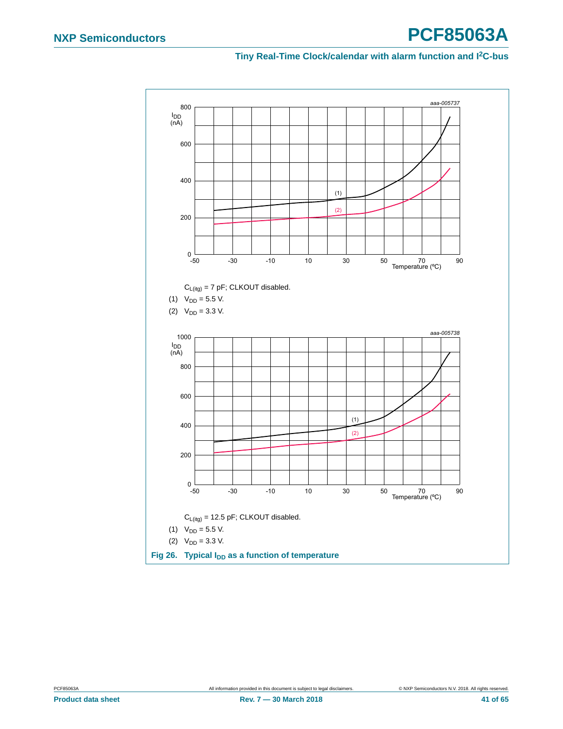<span id="page-40-0"></span>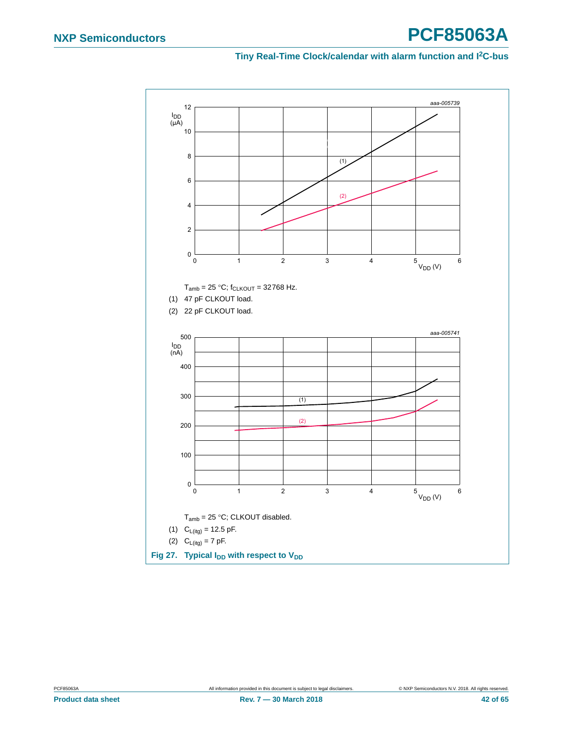# **NXP Semiconductors PCF85063A**

<span id="page-41-0"></span>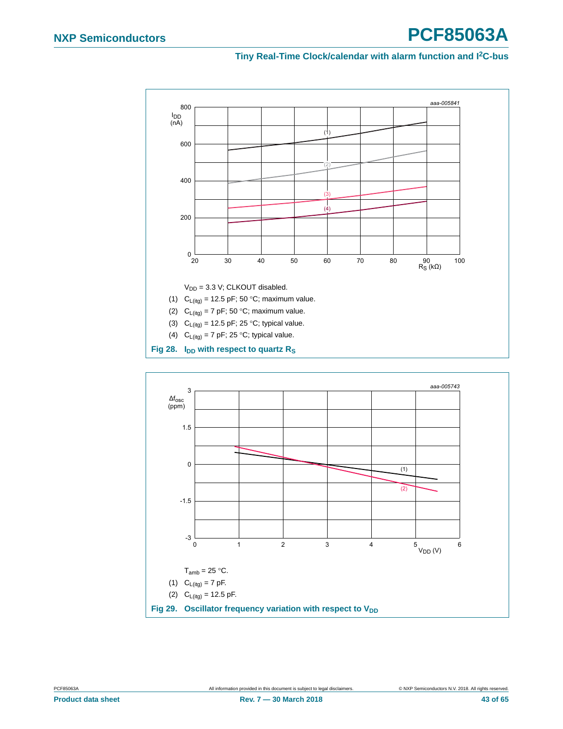

<span id="page-42-1"></span><span id="page-42-0"></span>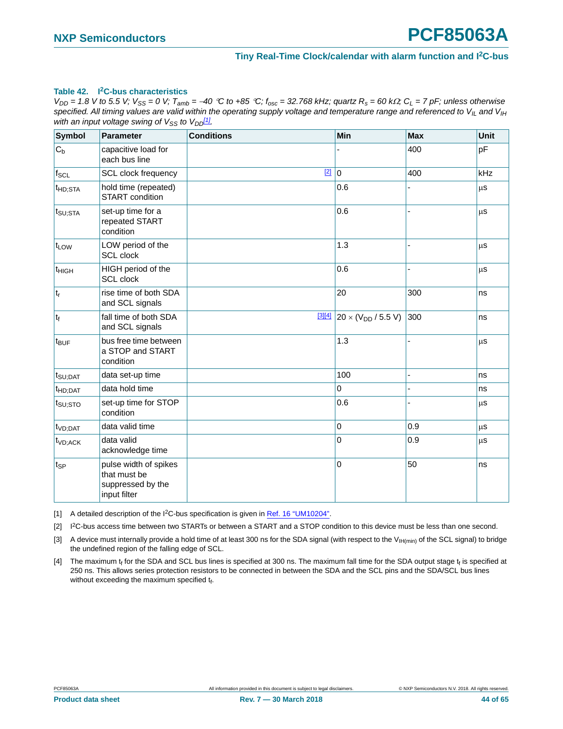#### <span id="page-43-4"></span>**Table 42. I2C-bus characteristics**

 $V_{DD}$  = 1.8 V to 5.5 V;  $V_{SS}$  = 0 V;  $T_{amb}$  = -40 °C to +85 °C;  $f_{osc}$  = 32.768 kHz; quartz  $R_s$  = 60 k $\Omega$ ;  $C_L$  = 7 pF; unless otherwise specified. All timing values are valid within the operating supply voltage and temperature range and referenced to V<sub>IL</sub> and V<sub>IH</sub> *with an input voltage swing of*  $V_{SS}$  *to*  $V_{DD}$ *[1].* 

| <b>Symbol</b>       | <b>Parameter</b>                                                           | <b>Conditions</b> | Min                                            | <b>Max</b> | Unit       |
|---------------------|----------------------------------------------------------------------------|-------------------|------------------------------------------------|------------|------------|
| $C_b$               | capacitive load for<br>each bus line                                       |                   |                                                | 400        | pF         |
| $f_{\text{SCL}}$    | <b>SCL clock frequency</b>                                                 | $\boxed{2}$ 0     |                                                | 400        | <b>kHz</b> |
| t <sub>HD;STA</sub> | hold time (repeated)<br><b>START</b> condition                             |                   | 0.6                                            |            | $\mu$ s    |
| $t_{\text{SU;STA}}$ | set-up time for a<br>repeated START<br>condition                           |                   | 0.6                                            |            | μS         |
| t <sub>LOW</sub>    | LOW period of the<br>SCL clock                                             |                   | 1.3                                            |            | $\mu$ s    |
| t <sub>HIGH</sub>   | HIGH period of the<br>SCL clock                                            |                   | 0.6                                            |            | μS         |
| $ t_r $             | rise time of both SDA<br>and SCL signals                                   |                   | 20                                             | 300        | ns         |
| $ t_f $             | fall time of both SDA<br>and SCL signals                                   |                   | $\frac{314}{1}$ 20 × (V <sub>DD</sub> / 5.5 V) | 300        | ns         |
| t <sub>BUF</sub>    | bus free time between<br>a STOP and START<br>condition                     |                   | 1.3                                            |            | μS         |
| $t_{\text{SU;DAT}}$ | data set-up time                                                           |                   | 100                                            |            | ns         |
| t <sub>HD;DAT</sub> | data hold time                                                             |                   | 0                                              |            | ns         |
| $t_{\text{SU;STO}}$ | set-up time for STOP<br>condition                                          |                   | 0.6                                            |            | $\mu$ s    |
| t <sub>VD;DAT</sub> | data valid time                                                            |                   | 0                                              | 0.9        | $\mu$ s    |
| t <sub>VD;ACK</sub> | data valid<br>acknowledge time                                             |                   | 0                                              | 0.9        | μS         |
| $t_{SP}$            | pulse width of spikes<br>that must be<br>suppressed by the<br>input filter |                   | 0                                              | 50         | ns         |

<span id="page-43-0"></span>[1] A detailed description of the I<sup>2</sup>C-bus specification is given in [Ref. 16 "UM10204"](#page-58-0).

<span id="page-43-1"></span>[2] I<sup>2</sup>C-bus access time between two STARTs or between a START and a STOP condition to this device must be less than one second.

<span id="page-43-2"></span>[3] A device must internally provide a hold time of at least 300 ns for the SDA signal (with respect to the V<sub>IH(min)</sub> of the SCL signal) to bridge the undefined region of the falling edge of SCL.

<span id="page-43-3"></span>[4] The maximum  $t_f$  for the SDA and SCL bus lines is specified at 300 ns. The maximum fall time for the SDA output stage  $t_f$  is specified at 250 ns. This allows series protection resistors to be connected in between the SDA and the SCL pins and the SDA/SCL bus lines without exceeding the maximum specified tf.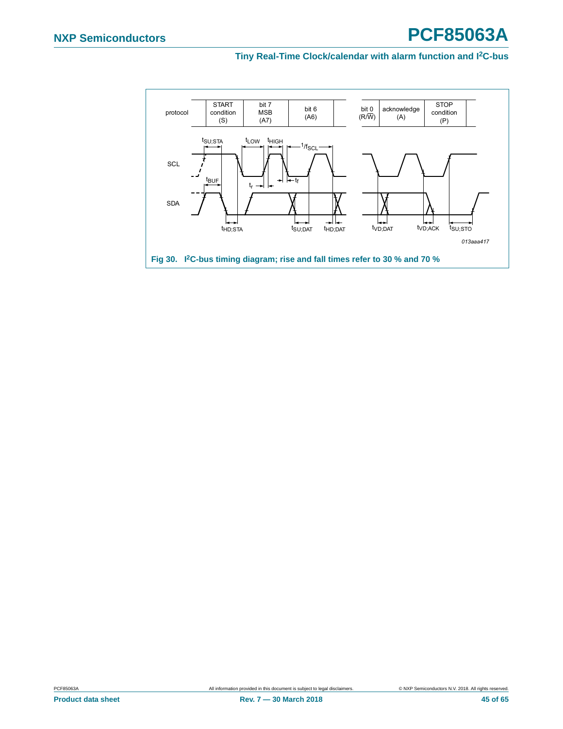<span id="page-44-0"></span>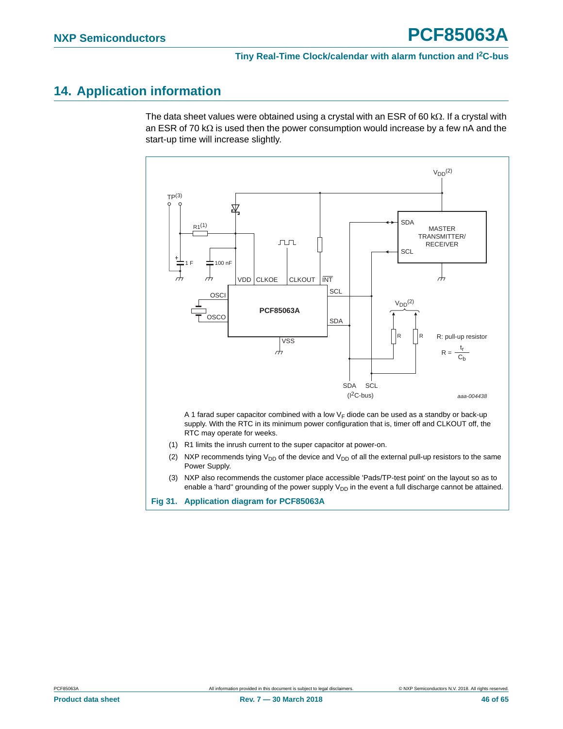## <span id="page-45-0"></span>**14. Application information**

The data sheet values were obtained using a crystal with an ESR of 60 k $\Omega$ . If a crystal with an ESR of 70 k $\Omega$  is used then the power consumption would increase by a few nA and the start-up time will increase slightly.

<span id="page-45-3"></span><span id="page-45-2"></span><span id="page-45-1"></span>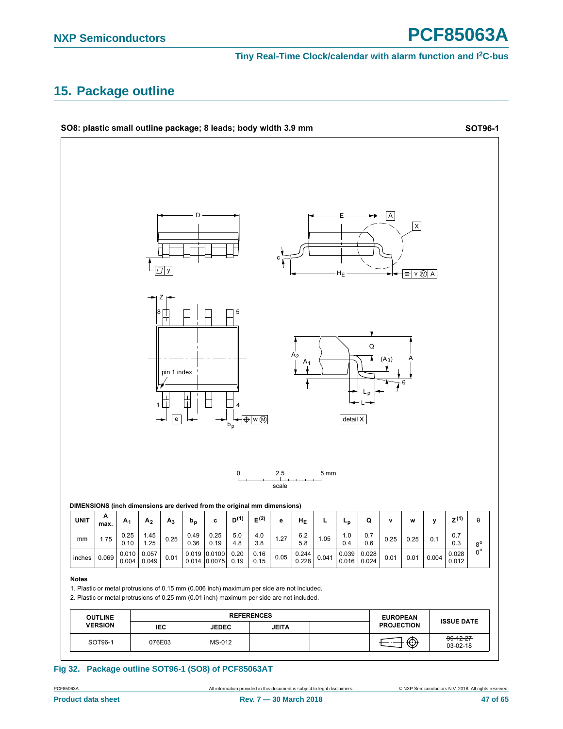## <span id="page-46-1"></span>**15. Package outline**



<span id="page-46-0"></span>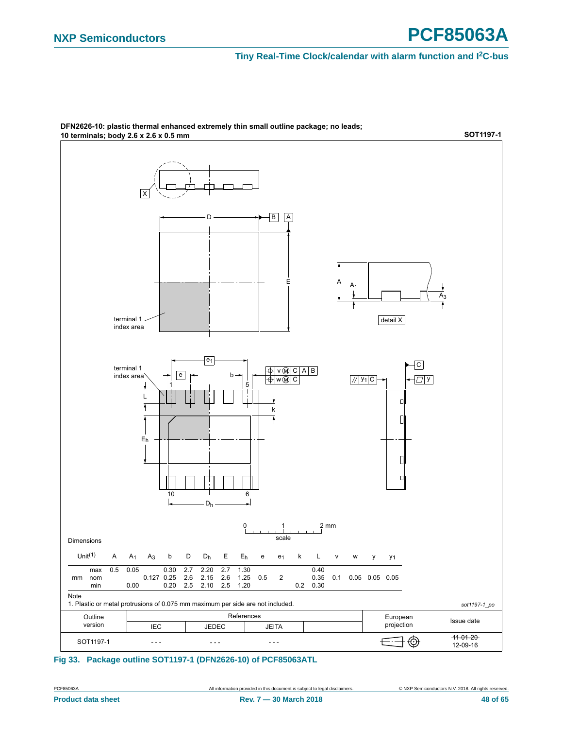

DFN2626-10: plastic thermal enhanced extremely thin small outline package; no leads;

#### <span id="page-47-0"></span>**Fig 33. Package outline SOT1197-1 (DFN2626-10) of PCF85063ATL**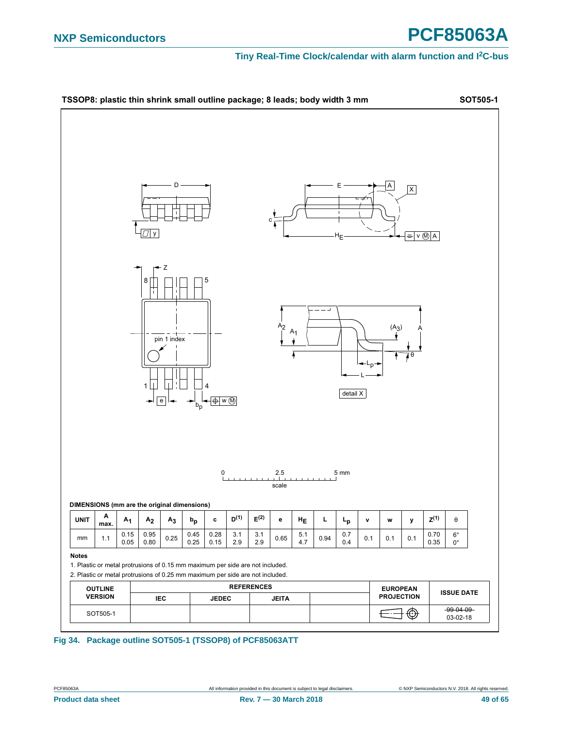## **NXP Semiconductors PCF85063A**



<span id="page-48-0"></span>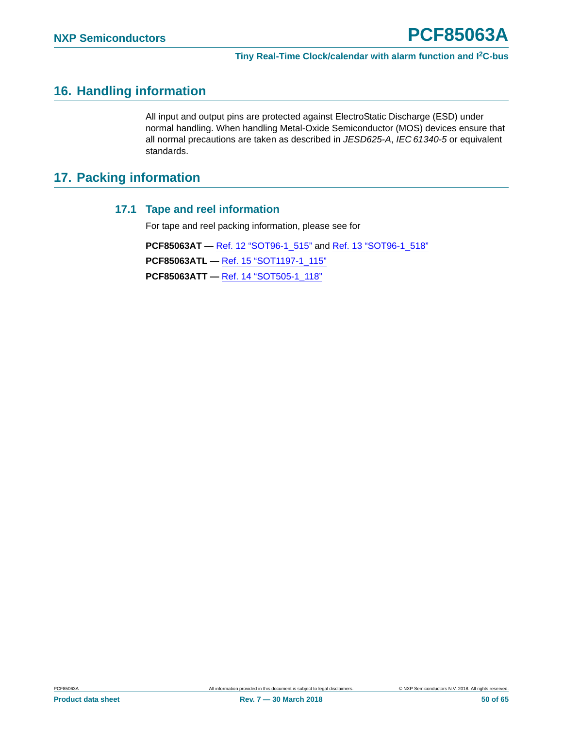## <span id="page-49-0"></span>**16. Handling information**

All input and output pins are protected against ElectroStatic Discharge (ESD) under normal handling. When handling Metal-Oxide Semiconductor (MOS) devices ensure that all normal precautions are taken as described in *JESD625-A*, *IEC 61340-5* or equivalent standards.

## <span id="page-49-2"></span><span id="page-49-1"></span>**17. Packing information**

### **17.1 Tape and reel information**

For tape and reel packing information, please see for

**PCF85063AT —** [Ref. 12 "SOT96-1\\_515"](#page-58-8) and [Ref. 13 "SOT96-1\\_518"](#page-58-9) **PCF85063ATL —** [Ref. 15 "SOT1197-1\\_115"](#page-58-7) **PCF85063ATT —** [Ref. 14 "SOT505-1\\_118"](#page-58-6)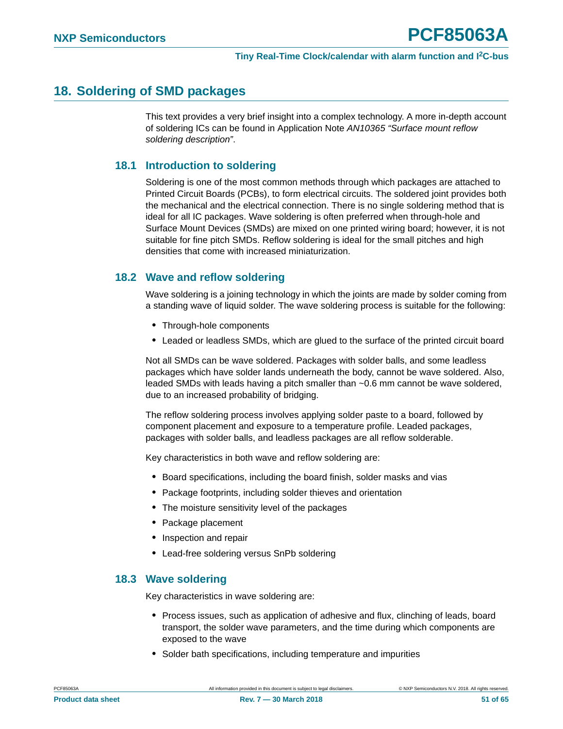## <span id="page-50-0"></span>**18. Soldering of SMD packages**

This text provides a very brief insight into a complex technology. A more in-depth account of soldering ICs can be found in Application Note *AN10365 "Surface mount reflow soldering description"*.

### <span id="page-50-1"></span>**18.1 Introduction to soldering**

Soldering is one of the most common methods through which packages are attached to Printed Circuit Boards (PCBs), to form electrical circuits. The soldered joint provides both the mechanical and the electrical connection. There is no single soldering method that is ideal for all IC packages. Wave soldering is often preferred when through-hole and Surface Mount Devices (SMDs) are mixed on one printed wiring board; however, it is not suitable for fine pitch SMDs. Reflow soldering is ideal for the small pitches and high densities that come with increased miniaturization.

### <span id="page-50-2"></span>**18.2 Wave and reflow soldering**

Wave soldering is a joining technology in which the joints are made by solder coming from a standing wave of liquid solder. The wave soldering process is suitable for the following:

- **•** Through-hole components
- **•** Leaded or leadless SMDs, which are glued to the surface of the printed circuit board

Not all SMDs can be wave soldered. Packages with solder balls, and some leadless packages which have solder lands underneath the body, cannot be wave soldered. Also, leaded SMDs with leads having a pitch smaller than ~0.6 mm cannot be wave soldered, due to an increased probability of bridging.

The reflow soldering process involves applying solder paste to a board, followed by component placement and exposure to a temperature profile. Leaded packages, packages with solder balls, and leadless packages are all reflow solderable.

Key characteristics in both wave and reflow soldering are:

- **•** Board specifications, including the board finish, solder masks and vias
- **•** Package footprints, including solder thieves and orientation
- **•** The moisture sensitivity level of the packages
- **•** Package placement
- **•** Inspection and repair
- **•** Lead-free soldering versus SnPb soldering

#### <span id="page-50-3"></span>**18.3 Wave soldering**

Key characteristics in wave soldering are:

- **•** Process issues, such as application of adhesive and flux, clinching of leads, board transport, the solder wave parameters, and the time during which components are exposed to the wave
- **•** Solder bath specifications, including temperature and impurities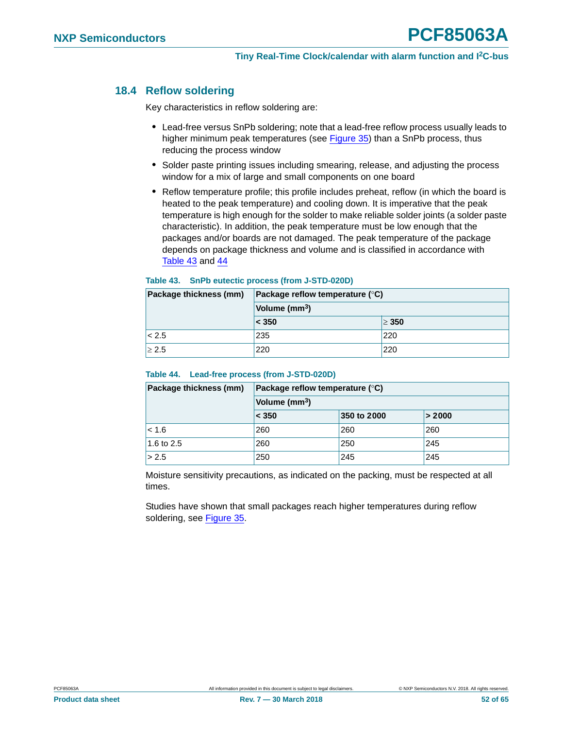### <span id="page-51-2"></span>**18.4 Reflow soldering**

Key characteristics in reflow soldering are:

- **•** Lead-free versus SnPb soldering; note that a lead-free reflow process usually leads to higher minimum peak temperatures (see [Figure 35\)](#page-52-0) than a SnPb process, thus reducing the process window
- **•** Solder paste printing issues including smearing, release, and adjusting the process window for a mix of large and small components on one board
- **•** Reflow temperature profile; this profile includes preheat, reflow (in which the board is heated to the peak temperature) and cooling down. It is imperative that the peak temperature is high enough for the solder to make reliable solder joints (a solder paste characteristic). In addition, the peak temperature must be low enough that the packages and/or boards are not damaged. The peak temperature of the package depends on package thickness and volume and is classified in accordance with [Table 43](#page-51-0) and [44](#page-51-1)

| Package thickness (mm) | <b>Package reflow temperature (<math>\degree</math>C)</b> |            |  |
|------------------------|-----------------------------------------------------------|------------|--|
|                        | Volume (mm <sup>3</sup> )                                 |            |  |
|                        | < 350                                                     | $\geq 350$ |  |
| < 2.5                  | 235                                                       | 220        |  |
| > 2.5                  | 220                                                       | 220        |  |

#### <span id="page-51-0"></span>**Table 43. SnPb eutectic process (from J-STD-020D)**

#### <span id="page-51-1"></span>**Table 44. Lead-free process (from J-STD-020D)**

| Package thickness (mm) | Package reflow temperature $(^\circ \mathsf{C})$ |             |        |  |  |  |
|------------------------|--------------------------------------------------|-------------|--------|--|--|--|
|                        | Volume (mm <sup>3</sup> )                        |             |        |  |  |  |
|                        | $ $ < 350                                        | 350 to 2000 | > 2000 |  |  |  |
| 1 < 1.6                | 260                                              | 260         | 260    |  |  |  |
| 1.6 to 2.5             | 260                                              | 250         | 245    |  |  |  |
| > 2.5                  | 250                                              | 245         | 245    |  |  |  |

Moisture sensitivity precautions, as indicated on the packing, must be respected at all times.

Studies have shown that small packages reach higher temperatures during reflow soldering, see [Figure 35.](#page-52-0)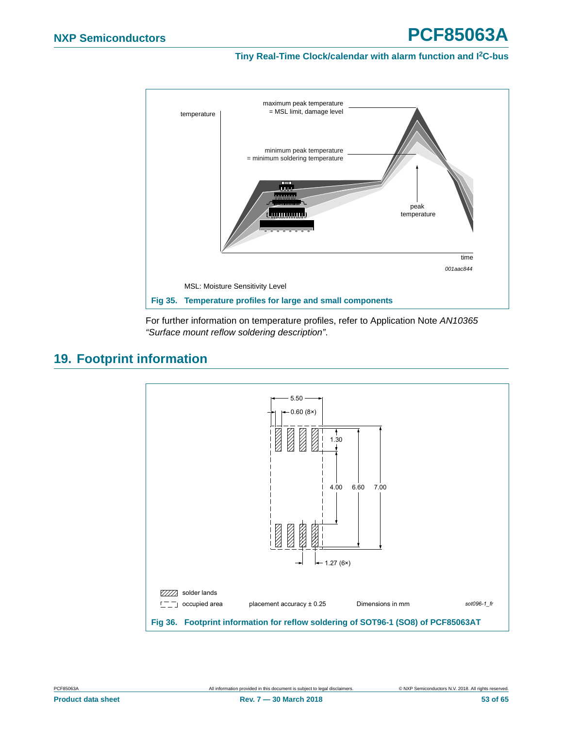

<span id="page-52-0"></span>For further information on temperature profiles, refer to Application Note *AN10365 "Surface mount reflow soldering description"*.

## <span id="page-52-2"></span>**19. Footprint information**

<span id="page-52-1"></span>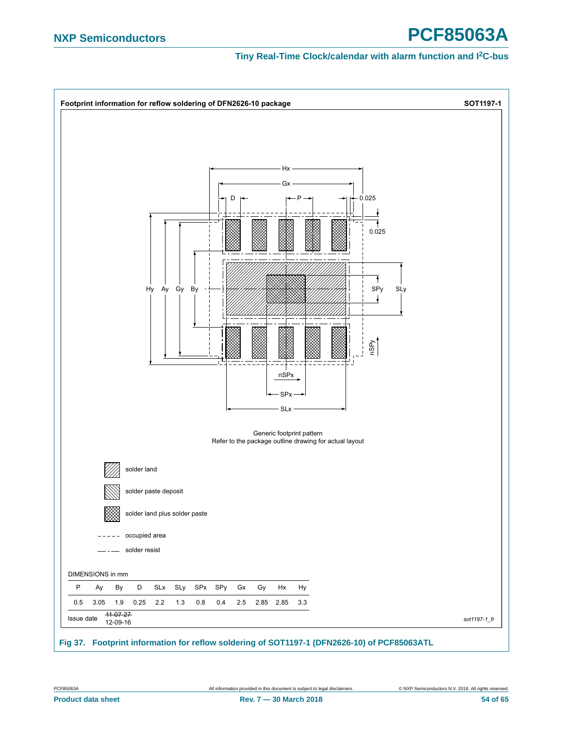# **NXP Semiconductors PCF85063A**



<span id="page-53-0"></span>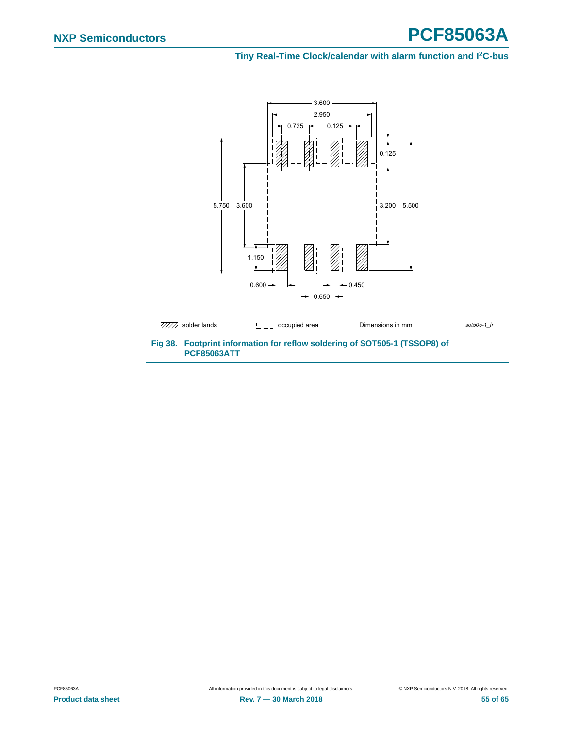<span id="page-54-0"></span>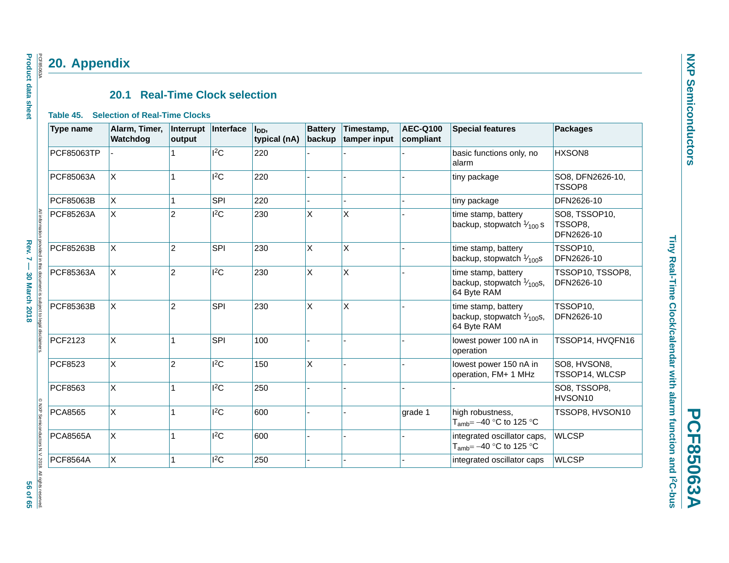## **20. Appendix**

## **20.1 Real-Time Clock selection**

#### **Table 45. Selection of Real-Time Clocks**

|                   | Type name         | Alarm, Timer,<br>Watchdog | Interrupt<br>output | Interface  | l <sub>DD</sub> ,<br>typical (nA) | <b>Battery</b><br>backup | Timestamp,<br>tamper input | <b>AEC-Q100</b><br>compliant | <b>Special features</b>                                                    | <b>Packages</b>                        |
|-------------------|-------------------|---------------------------|---------------------|------------|-----------------------------------|--------------------------|----------------------------|------------------------------|----------------------------------------------------------------------------|----------------------------------------|
|                   | <b>PCF85063TP</b> |                           |                     | $I^2C$     | 220                               |                          |                            |                              | basic functions only, no<br>alarm                                          | HXSON8                                 |
|                   | PCF85063A         | $\pmb{\times}$            | 1                   | 12C        | 220                               |                          |                            |                              | tiny package                                                               | SO8, DFN2626-10,<br>TSSOP8             |
|                   | PCF85063B         | X                         | 1                   | SPI        | 220                               |                          |                            |                              | tiny package                                                               | DFN2626-10                             |
|                   | PCF85263A         | X                         | $\overline{c}$      | ${}^{12}C$ | 230                               | X                        | $\mathsf{X}$               |                              | time stamp, battery<br>backup, stopwatch $\frac{1}{100}$ s                 | SO8, TSSOP10,<br>TSSOP8.<br>DFN2626-10 |
|                   | PCF85263B         | X                         | $\overline{2}$      | SPI        | 230                               | X                        | X                          |                              | time stamp, battery<br>backup, stopwatch $\frac{1}{100}$ s                 | TSSOP10,<br>DFN2626-10                 |
| ument is          | PCF85363A         | X                         | $\overline{2}$      | 12C        | 230                               | X                        | X                          |                              | time stamp, battery<br>backup, stopwatch $\frac{1}{100}$ s,<br>64 Byte RAM | TSSOP10, TSSOP8,<br>DFN2626-10         |
| bject to legal di | PCF85363B         | $\mathsf{x}$              | $\overline{2}$      | SPI        | 230                               | $\pmb{\times}$           | X                          |                              | time stamp, battery<br>backup, stopwatch $\frac{1}{100}$ s,<br>64 Byte RAM | TSSOP10,<br>DFN2626-10                 |
|                   | PCF2123           | X                         | 1                   | SPI        | 100                               |                          |                            |                              | lowest power 100 nA in<br>operation                                        | TSSOP14, HVQFN16                       |
|                   | <b>PCF8523</b>    | X                         | $\overline{c}$      | 12C        | 150                               | X                        |                            |                              | lowest power 150 nA in<br>operation, FM+ 1 MHz                             | SO8, HVSON8,<br>TSSOP14, WLCSP         |
|                   | PCF8563           | X                         | 1                   | 12C        | 250                               |                          |                            |                              |                                                                            | SO8, TSSOP8,<br>HVSON10                |
| <b>NXP Semi</b>   | <b>PCA8565</b>    | $\pmb{\times}$            | 1                   | $I^2C$     | 600                               |                          |                            | grade 1                      | high robustness,<br>$T_{amb} = -40$ °C to 125 °C                           | TSSOP8, HVSON10                        |
|                   | <b>PCA8565A</b>   | X                         | 1                   | $I^2C$     | 600                               |                          |                            |                              | integrated oscillator caps,<br>T <sub>amb</sub> = $-40$ °C to 125 °C       | <b>WLCSP</b>                           |
|                   | <b>PCF8564A</b>   | X                         | 1                   | $I^2C$     | 250                               |                          |                            |                              | integrated oscillator caps                                                 | <b>WLCSP</b>                           |

**Product data sheet Product data sheet** PCF85063A PCF85063A

<span id="page-55-2"></span><span id="page-55-1"></span><span id="page-55-0"></span>© NXP Semiconductors N.V. 2018. All rights reserved.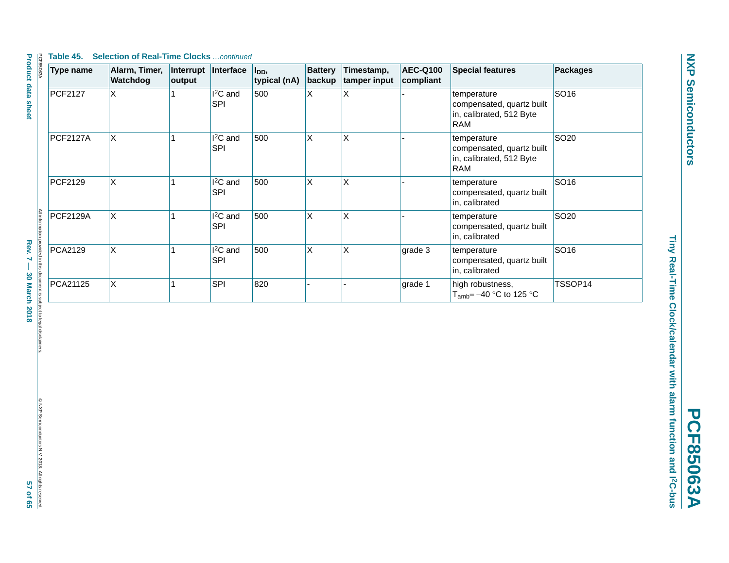#### **Table 45. Selection of Real-Time Clocks** *…continued*

| <b>Type name</b> | Alarm, Timer,<br>Watchdog | Interrupt<br>output | Interface                          | l <sub>DD</sub> ,<br>typical (nA) | <b>Battery</b><br>backup | Timestamp,<br>tamper input | <b>AEC-Q100</b><br>compliant | <b>Special features</b>                                                            | <b>Packages</b>  |
|------------------|---------------------------|---------------------|------------------------------------|-----------------------------------|--------------------------|----------------------------|------------------------------|------------------------------------------------------------------------------------|------------------|
| PCF2127          | $\mathsf{x}$              |                     | <sup>2</sup> C and<br><b>SPI</b>   | 500                               | X                        | Χ                          |                              | temperature<br>compensated, quartz built<br>in, calibrated, 512 Byte<br>RAM        | SO16             |
| <b>PCF2127A</b>  | <b>X</b>                  |                     | <sup>2</sup> C and<br>SPI          | 500                               | X                        | X                          |                              | temperature<br>compensated, quartz built<br>in, calibrated, 512 Byte<br><b>RAM</b> | SO <sub>20</sub> |
| PCF2129          | $\mathsf{x}$              |                     | I <sup>2</sup> C and<br><b>SPI</b> | 500                               | X                        | X                          |                              | temperature<br>compensated, quartz built<br>in, calibrated                         | SO16             |
| <b>PCF2129A</b>  | $\mathsf{x}$              |                     | I <sup>2</sup> C and<br><b>SPI</b> | 500                               | X                        | X                          |                              | temperature<br>compensated, quartz built<br>in, calibrated                         | SO <sub>20</sub> |
| PCA2129          | X                         |                     | <sup>2</sup> C and<br><b>SPI</b>   | 500                               | X                        | X                          | grade 3                      | temperature<br>compensated, quartz built<br>in, calibrated                         | SO16             |
| PCA21125         | $\mathsf{x}$              |                     | <b>SPI</b>                         | 820                               |                          |                            | grade 1                      | high robustness,<br>$T_{amb} = -40$ °C to 125 °C                                   | TSSOP14          |

provided in this document is subject to legal disclaimers<br>Rev. 7 — 30 March 2018

Tiny Real-Time Clock/calendar with alarm function and PC-bus **Tiny Real-Time Clock/calendar with alarm function and I2C-bus PCF85063A** 

**PCF85063A**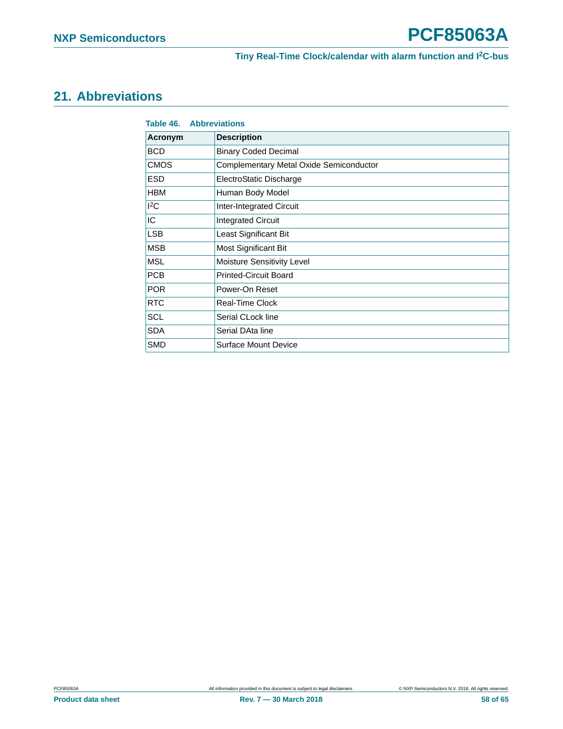## <span id="page-57-0"></span>**21. Abbreviations**

<span id="page-57-1"></span>

| <b>Table 46. Abbreviations</b> |                                         |
|--------------------------------|-----------------------------------------|
| Acronym                        | <b>Description</b>                      |
| BCD.                           | <b>Binary Coded Decimal</b>             |
| <b>CMOS</b>                    | Complementary Metal Oxide Semiconductor |
| ESD                            | ElectroStatic Discharge                 |
| <b>HBM</b>                     | Human Body Model                        |
| ${}^{12}C$                     | Inter-Integrated Circuit                |
| IC.                            | <b>Integrated Circuit</b>               |
| <b>LSB</b>                     | Least Significant Bit                   |
| <b>MSB</b>                     | Most Significant Bit                    |
| MSL                            | Moisture Sensitivity Level              |
| <b>PCB</b>                     | <b>Printed-Circuit Board</b>            |
| <b>POR</b>                     | Power-On Reset                          |
| <b>RTC</b>                     | Real-Time Clock                         |
| <b>SCL</b>                     | Serial CLock line                       |
| SDA.                           | Serial DAta line                        |
| SMD                            | Surface Mount Device                    |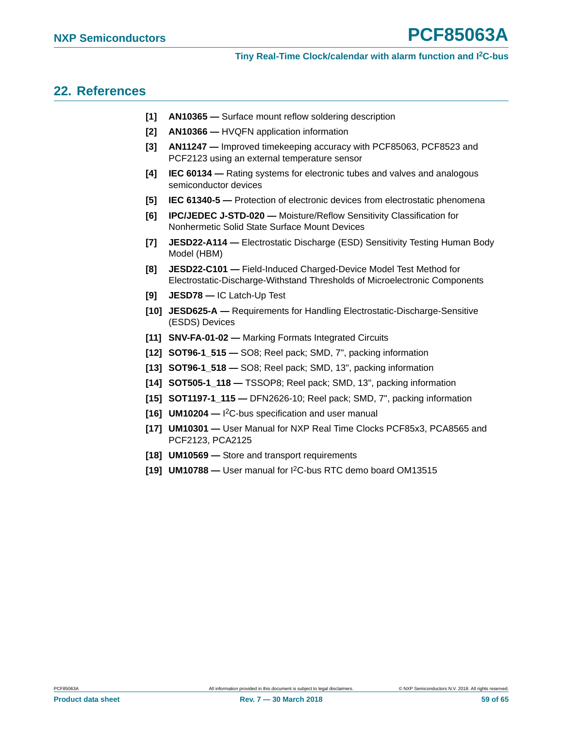### <span id="page-58-10"></span>**22. References**

- **[1] AN10365** Surface mount reflow soldering description
- **[2] AN10366** HVQFN application information
- **[3] AN11247** Improved timekeeping accuracy with PCF85063, PCF8523 and PCF2123 using an external temperature sensor
- **[4] IEC 60134** Rating systems for electronic tubes and valves and analogous semiconductor devices
- **[5] IEC 61340-5** Protection of electronic devices from electrostatic phenomena
- **[6] IPC/JEDEC J-STD-020** Moisture/Reflow Sensitivity Classification for Nonhermetic Solid State Surface Mount Devices
- <span id="page-58-5"></span>**[7] JESD22-A114 —** Electrostatic Discharge (ESD) Sensitivity Testing Human Body Model (HBM)
- <span id="page-58-2"></span>**[8] JESD22-C101 —** Field-Induced Charged-Device Model Test Method for Electrostatic-Discharge-Withstand Thresholds of Microelectronic Components
- <span id="page-58-3"></span>**[9] JESD78 —** IC Latch-Up Test
- **[10] JESD625-A** Requirements for Handling Electrostatic-Discharge-Sensitive (ESDS) Devices
- **[11] SNV-FA-01-02** Marking Formats Integrated Circuits
- <span id="page-58-8"></span>**[12] SOT96-1\_515 —** SO8; Reel pack; SMD, 7", packing information
- <span id="page-58-9"></span>**[13] SOT96-1\_518 —** SO8; Reel pack; SMD, 13", packing information
- <span id="page-58-6"></span>**[14] SOT505-1\_118 —** TSSOP8; Reel pack; SMD, 13", packing information
- <span id="page-58-7"></span>**[15] SOT1197-1\_115 —** DFN2626-10; Reel pack; SMD, 7", packing information
- <span id="page-58-0"></span>**[16] UM10204 —** I 2C-bus specification and user manual
- <span id="page-58-1"></span>**[17] UM10301 —** User Manual for NXP Real Time Clocks PCF85x3, PCA8565 and PCF2123, PCA2125
- <span id="page-58-4"></span>**[18] UM10569 —** Store and transport requirements
- **[19] UM10788** User manual for I2C-bus RTC demo board OM13515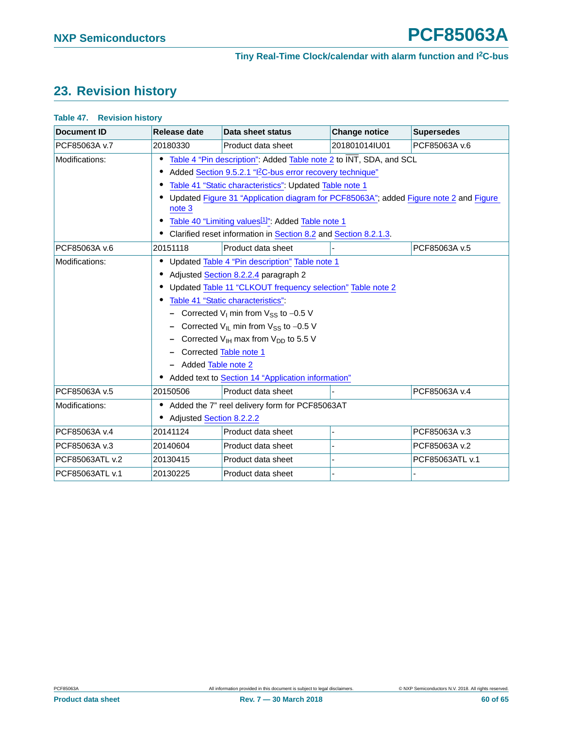## <span id="page-59-1"></span>**23. Revision history**

#### <span id="page-59-0"></span>**Table 47. Revision history**

| <b>Document ID</b> | Release date                                                          | Data sheet status                                                                     | <b>Change notice</b> | <b>Supersedes</b> |  |  |  |
|--------------------|-----------------------------------------------------------------------|---------------------------------------------------------------------------------------|----------------------|-------------------|--|--|--|
| PCF85063A v.7      | 20180330                                                              | Product data sheet                                                                    | 201801014IU01        | PCF85063A v.6     |  |  |  |
| Modifications:     | Table 4 "Pin description": Added Table note 2 to INT, SDA, and SCL    |                                                                                       |                      |                   |  |  |  |
|                    | Added Section 9.5.2.1 "I <sup>2</sup> C-bus error recovery technique" |                                                                                       |                      |                   |  |  |  |
|                    |                                                                       | Table 41 "Static characteristics": Updated Table note 1                               |                      |                   |  |  |  |
|                    | note 3                                                                | Updated Figure 31 "Application diagram for PCF85063A"; added Figure note 2 and Figure |                      |                   |  |  |  |
|                    |                                                                       | Table 40 "Limiting values <sup>[1]</sup> ": Added Table note 1                        |                      |                   |  |  |  |
|                    | Clarified reset information in Section 8.2 and Section 8.2.1.3.       |                                                                                       |                      |                   |  |  |  |
| PCF85063A v.6      | 20151118                                                              | Product data sheet                                                                    |                      | PCF85063A v.5     |  |  |  |
| Modifications:     |                                                                       | Updated Table 4 "Pin description" Table note 1                                        |                      |                   |  |  |  |
|                    | Adjusted Section 8.2.2.4 paragraph 2                                  |                                                                                       |                      |                   |  |  |  |
|                    | Updated Table 11 "CLKOUT frequency selection" Table note 2            |                                                                                       |                      |                   |  |  |  |
|                    | Table 41 "Static characteristics":                                    |                                                                                       |                      |                   |  |  |  |
|                    | - Corrected $V_1$ min from $V_{SS}$ to -0.5 V                         |                                                                                       |                      |                   |  |  |  |
|                    | Corrected $V_{\text{IL}}$ min from $V_{SS}$ to -0.5 V                 |                                                                                       |                      |                   |  |  |  |
|                    | Corrected $V_{\text{IH}}$ max from $V_{\text{DD}}$ to 5.5 V           |                                                                                       |                      |                   |  |  |  |
|                    | Corrected Table note 1                                                |                                                                                       |                      |                   |  |  |  |
|                    | Added Table note 2                                                    |                                                                                       |                      |                   |  |  |  |
|                    | Added text to Section 14 "Application information"                    |                                                                                       |                      |                   |  |  |  |
| PCF85063A v.5      | 20150506                                                              | Product data sheet                                                                    |                      | PCF85063A v.4     |  |  |  |
| Modifications:     |                                                                       | Added the 7" reel delivery form for PCF85063AT                                        |                      |                   |  |  |  |
|                    | <b>Adjusted Section 8.2.2.2</b>                                       |                                                                                       |                      |                   |  |  |  |
| PCF85063A v.4      | 20141124                                                              | Product data sheet                                                                    |                      | PCF85063A v.3     |  |  |  |
| PCF85063A v.3      | 20140604                                                              | Product data sheet                                                                    |                      | PCF85063A v.2     |  |  |  |
| PCF85063ATL v.2    | 20130415                                                              | Product data sheet                                                                    |                      | PCF85063ATL v.1   |  |  |  |
| PCF85063ATL v.1    | 20130225                                                              | Product data sheet                                                                    |                      |                   |  |  |  |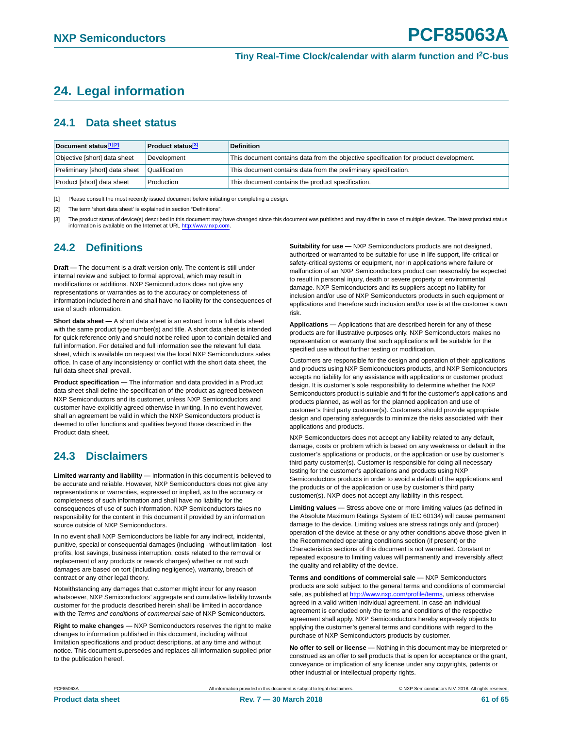## <span id="page-60-3"></span>**24. Legal information**

### <span id="page-60-4"></span>**24.1 Data sheet status**

| Document status[1][2]          | <b>Product status</b> <sup>[3]</sup> | <b>Definition</b>                                                                     |
|--------------------------------|--------------------------------------|---------------------------------------------------------------------------------------|
| Objective [short] data sheet   | Development                          | This document contains data from the objective specification for product development. |
| Preliminary [short] data sheet | Qualification                        | This document contains data from the preliminary specification.                       |
| Product [short] data sheet     | Production                           | This document contains the product specification.                                     |

<span id="page-60-0"></span>[1] Please consult the most recently issued document before initiating or completing a design.

<span id="page-60-1"></span>[2] The term 'short data sheet' is explained in section "Definitions"

<span id="page-60-2"></span>[3] The product status of device(s) described in this document may have changed since this document was published and may differ in case of multiple devices. The latest product status information is available on the Internet at URL [http://www.nxp.com.](http://www.nxp.com)

### <span id="page-60-5"></span>**24.2 Definitions**

**Draft —** The document is a draft version only. The content is still under internal review and subject to formal approval, which may result in modifications or additions. NXP Semiconductors does not give any representations or warranties as to the accuracy or completeness of information included herein and shall have no liability for the consequences of use of such information.

**Short data sheet —** A short data sheet is an extract from a full data sheet with the same product type number(s) and title. A short data sheet is intended for quick reference only and should not be relied upon to contain detailed and full information. For detailed and full information see the relevant full data sheet, which is available on request via the local NXP Semiconductors sales office. In case of any inconsistency or conflict with the short data sheet, the full data sheet shall prevail.

**Product specification —** The information and data provided in a Product data sheet shall define the specification of the product as agreed between NXP Semiconductors and its customer, unless NXP Semiconductors and customer have explicitly agreed otherwise in writing. In no event however, shall an agreement be valid in which the NXP Semiconductors product is deemed to offer functions and qualities beyond those described in the Product data sheet.

### <span id="page-60-6"></span>**24.3 Disclaimers**

**Limited warranty and liability —** Information in this document is believed to be accurate and reliable. However, NXP Semiconductors does not give any representations or warranties, expressed or implied, as to the accuracy or completeness of such information and shall have no liability for the consequences of use of such information. NXP Semiconductors takes no responsibility for the content in this document if provided by an information source outside of NXP Semiconductors.

In no event shall NXP Semiconductors be liable for any indirect, incidental, punitive, special or consequential damages (including - without limitation - lost profits, lost savings, business interruption, costs related to the removal or replacement of any products or rework charges) whether or not such damages are based on tort (including negligence), warranty, breach of contract or any other legal theory.

Notwithstanding any damages that customer might incur for any reason whatsoever, NXP Semiconductors' aggregate and cumulative liability towards customer for the products described herein shall be limited in accordance with the *Terms and conditions of commercial sale* of NXP Semiconductors.

**Right to make changes —** NXP Semiconductors reserves the right to make changes to information published in this document, including without limitation specifications and product descriptions, at any time and without notice. This document supersedes and replaces all information supplied prior to the publication hereof.

**Suitability for use —** NXP Semiconductors products are not designed, authorized or warranted to be suitable for use in life support, life-critical or safety-critical systems or equipment, nor in applications where failure or malfunction of an NXP Semiconductors product can reasonably be expected to result in personal injury, death or severe property or environmental damage. NXP Semiconductors and its suppliers accept no liability for inclusion and/or use of NXP Semiconductors products in such equipment or applications and therefore such inclusion and/or use is at the customer's own risk.

**Applications —** Applications that are described herein for any of these products are for illustrative purposes only. NXP Semiconductors makes no representation or warranty that such applications will be suitable for the specified use without further testing or modification.

Customers are responsible for the design and operation of their applications and products using NXP Semiconductors products, and NXP Semiconductors accepts no liability for any assistance with applications or customer product design. It is customer's sole responsibility to determine whether the NXP Semiconductors product is suitable and fit for the customer's applications and products planned, as well as for the planned application and use of customer's third party customer(s). Customers should provide appropriate design and operating safeguards to minimize the risks associated with their applications and products.

NXP Semiconductors does not accept any liability related to any default, damage, costs or problem which is based on any weakness or default in the customer's applications or products, or the application or use by customer's third party customer(s). Customer is responsible for doing all necessary testing for the customer's applications and products using NXP Semiconductors products in order to avoid a default of the applications and the products or of the application or use by customer's third party customer(s). NXP does not accept any liability in this respect.

**Limiting values —** Stress above one or more limiting values (as defined in the Absolute Maximum Ratings System of IEC 60134) will cause permanent damage to the device. Limiting values are stress ratings only and (proper) operation of the device at these or any other conditions above those given in the Recommended operating conditions section (if present) or the Characteristics sections of this document is not warranted. Constant or repeated exposure to limiting values will permanently and irreversibly affect the quality and reliability of the device.

**Terms and conditions of commercial sale —** NXP Semiconductors products are sold subject to the general terms and conditions of commercial sale, as published at [http://www.nxp.com/profile/terms,](http://www.nxp.com/profile/terms) unless otherwise agreed in a valid written individual agreement. In case an individual agreement is concluded only the terms and conditions of the respective agreement shall apply. NXP Semiconductors hereby expressly objects to applying the customer's general terms and conditions with regard to the purchase of NXP Semiconductors products by customer.

**No offer to sell or license —** Nothing in this document may be interpreted or construed as an offer to sell products that is open for acceptance or the grant, conveyance or implication of any license under any copyrights, patents or other industrial or intellectual property rights.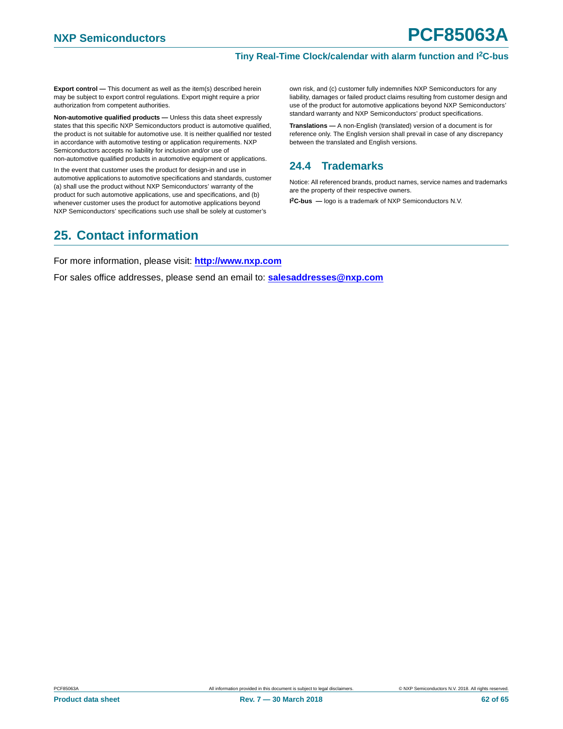**Export control —** This document as well as the item(s) described herein may be subject to export control regulations. Export might require a prior authorization from competent authorities.

**Non-automotive qualified products —** Unless this data sheet expressly states that this specific NXP Semiconductors product is automotive qualified, the product is not suitable for automotive use. It is neither qualified nor tested in accordance with automotive testing or application requirements. NXP Semiconductors accepts no liability for inclusion and/or use of non-automotive qualified products in automotive equipment or applications.

In the event that customer uses the product for design-in and use in automotive applications to automotive specifications and standards, customer (a) shall use the product without NXP Semiconductors' warranty of the product for such automotive applications, use and specifications, and (b) whenever customer uses the product for automotive applications beyond NXP Semiconductors' specifications such use shall be solely at customer's

own risk, and (c) customer fully indemnifies NXP Semiconductors for any liability, damages or failed product claims resulting from customer design and use of the product for automotive applications beyond NXP Semiconductors' standard warranty and NXP Semiconductors' product specifications.

**Translations —** A non-English (translated) version of a document is for reference only. The English version shall prevail in case of any discrepancy between the translated and English versions.

### <span id="page-61-0"></span>**24.4 Trademarks**

Notice: All referenced brands, product names, service names and trademarks are the property of their respective owners.

**I 2C-bus —** logo is a trademark of NXP Semiconductors N.V.

## <span id="page-61-1"></span>**25. Contact information**

For more information, please visit: **http://www.nxp.com**

For sales office addresses, please send an email to: **salesaddresses@nxp.com**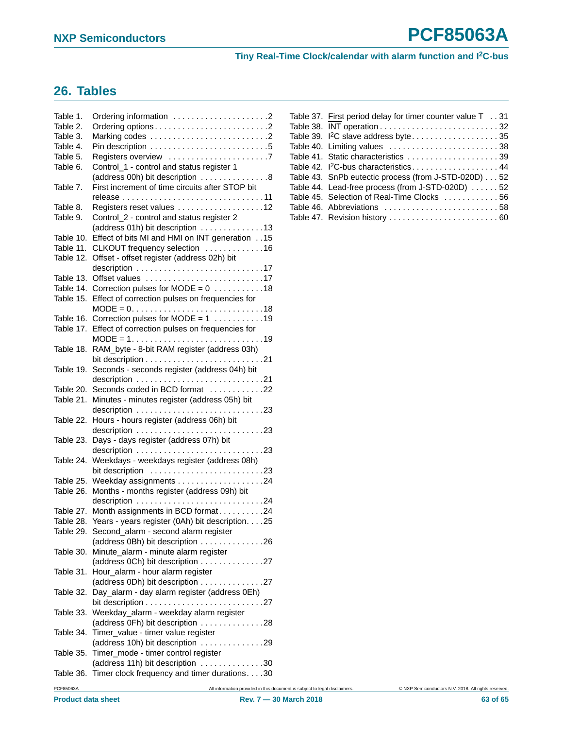## <span id="page-62-0"></span>**26. Tables**

| Table 1.  |                                                                                   |
|-----------|-----------------------------------------------------------------------------------|
| Table 2.  |                                                                                   |
| Table 3.  | Marking codes 2                                                                   |
| Table 4.  |                                                                                   |
| Table 5.  | Registers overview 7                                                              |
| Table 6.  | Control_1 - control and status register 1                                         |
|           | (address 00h) bit description 8                                                   |
| Table 7.  | First increment of time circuits after STOP bit                                   |
|           |                                                                                   |
| Table 8.  | Registers reset values 12                                                         |
| Table 9.  | Control_2 - control and status register 2                                         |
|           | (address 01h) bit description 13                                                  |
| Table 10. | Effect of bits MI and HMI on $\overline{\text{INT}}$ generation15                 |
| Table 11. | CLKOUT frequency selection 16                                                     |
| Table 12. | Offset - offset register (address 02h) bit                                        |
|           |                                                                                   |
| Table 13. | Offset values 17                                                                  |
| Table 14. | Correction pulses for MODE = $0$ 18                                               |
| Table 15. | Effect of correction pulses on frequencies for                                    |
|           | $MODE = 0. \dots 0. \dots 0. \dots 0. \dots 0. \dots 0.18$                        |
| Table 16. | Correction pulses for MODE = $1$ 19                                               |
| Table 17. | Effect of correction pulses on frequencies for                                    |
|           | $MODE = 1. 19$                                                                    |
| Table 18. | RAM_byte - 8-bit RAM register (address 03h)                                       |
|           |                                                                                   |
| Table 19. | Seconds - seconds register (address 04h) bit                                      |
|           | description 21                                                                    |
| Table 20. | Seconds coded in BCD format 22                                                    |
| Table 21. | Minutes - minutes register (address 05h) bit                                      |
|           | description $\ldots \ldots \ldots \ldots \ldots \ldots \ldots \ldots \ldots$ . 23 |
| Table 22. | Hours - hours register (address 06h) bit                                          |
|           | description 23                                                                    |
| Table 23. | Days - days register (address 07h) bit                                            |
|           |                                                                                   |
| Table 24. | Weekdays - weekdays register (address 08h)                                        |
|           | bit description 23                                                                |
|           |                                                                                   |
| Table 26. | Months - months register (address 09h) bit                                        |
|           |                                                                                   |
| Table 27. | Month assignments in BCD format24                                                 |
|           | Table 28. Years - years register (0Ah) bit description. 25                        |
|           | Table 29. Second_alarm - second alarm register                                    |
|           | (address 0Bh) bit description 26                                                  |
| Table 30. | Minute_alarm - minute alarm register                                              |
|           | (address 0Ch) bit description 27                                                  |
| Table 31. | Hour_alarm - hour alarm register                                                  |
|           | (address 0Dh) bit description 27                                                  |
| Table 32. | Day_alarm - day alarm register (address 0Eh)                                      |
|           |                                                                                   |
| Table 33. | Weekday_alarm - weekday alarm register                                            |
|           | (address 0Fh) bit description 28                                                  |
| Table 34. | Timer_value - timer value register                                                |
|           | (address 10h) bit description 29                                                  |
| Table 35. | Timer_mode - timer control register                                               |
|           | (address 11h) bit description 30                                                  |
| Table 36. | Timer clock frequency and timer durations30                                       |
|           |                                                                                   |

| Table 37. First period delay for timer counter value T 31 |
|-----------------------------------------------------------|
|                                                           |
| Table 39. <sup>12</sup> C slave address byte35            |
| Table 40. Limiting values 38                              |
| Table 41. Static characteristics 39                       |
| Table 42. <sup>2</sup> C-bus characteristics44            |
| Table 43. SnPb eutectic process (from J-STD-020D) 52      |
| Table 44. Lead-free process (from J-STD-020D) 52          |
| Table 45. Selection of Real-Time Clocks 56                |
|                                                           |
| Table 47. Revision history  60                            |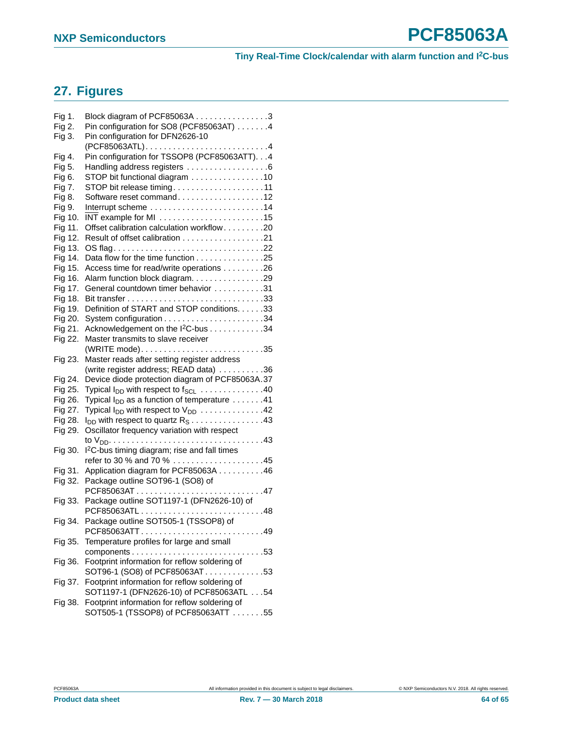## <span id="page-63-0"></span>**27. Figures**

| Fig 1.  | Block diagram of PCF85063A 3                                                |  |
|---------|-----------------------------------------------------------------------------|--|
| Fig 2.  | Pin configuration for SO8 (PCF85063AT) 4                                    |  |
| Fig 3.  | Pin configuration for DFN2626-10                                            |  |
| Fig 4.  | Pin configuration for TSSOP8 (PCF85063ATT). 4                               |  |
| Fig 5.  | Handling address registers 6                                                |  |
| Fig 6.  | STOP bit functional diagram 10                                              |  |
| Fig 7.  | STOP bit release timing11                                                   |  |
| Fig 8.  | Software reset command12                                                    |  |
| Fig 9.  |                                                                             |  |
| Fig 10. |                                                                             |  |
| Fig 11. | Offset calibration calculation workflow20                                   |  |
| Fig 12. |                                                                             |  |
| Fig 13. |                                                                             |  |
| Fig 14. | Data flow for the time function 25                                          |  |
| Fig 15. | Access time for read/write operations 26                                    |  |
| Fig 16. | Alarm function block diagram. 29                                            |  |
| Fig 17. | General countdown timer behavior 31                                         |  |
| Fig 18. |                                                                             |  |
| Fig 19. | Definition of START and STOP conditions. 33                                 |  |
| Fig 20. |                                                                             |  |
| Fig 21. | Acknowledgement on the I <sup>2</sup> C-bus 34                              |  |
| Fig 22. | Master transmits to slave receiver                                          |  |
|         |                                                                             |  |
| Fig 23. | Master reads after setting register address                                 |  |
|         | (write register address; READ data) 36                                      |  |
| Fig 24. | Device diode protection diagram of PCF85063A.37                             |  |
| Fig 25. | Typical $I_{DD}$ with respect to $f_{SCL}$ 40                               |  |
| Fig 26. | Typical $I_{DD}$ as a function of temperature $\dots \dots 41$              |  |
| Fig 27. | Typical $I_{DD}$ with respect to $V_{DD}$ 42                                |  |
| Fig 28. | $I_{DD}$ with respect to quartz $R_S \ldots \ldots \ldots \ldots \ldots 43$ |  |
| Fig 29. | Oscillator frequency variation with respect                                 |  |
|         |                                                                             |  |
| Fig 30. | I <sup>2</sup> C-bus timing diagram; rise and fall times                    |  |
|         | refer to 30 % and 70 % 45                                                   |  |
| Fig 31. | Application diagram for PCF85063A 46                                        |  |
| Fig 32. | Package outline SOT96-1 (SO8) of                                            |  |
|         | PCF85063AT47                                                                |  |
| Fig 33. | Package outline SOT1197-1 (DFN2626-10) of                                   |  |
|         | PCF85063ATL48                                                               |  |
| Fig 34. | Package outline SOT505-1 (TSSOP8) of                                        |  |
|         | PCF85063ATT49                                                               |  |
| Fig 35. | Temperature profiles for large and small                                    |  |
|         | components<br>. 53                                                          |  |
| Fig 36. | Footprint information for reflow soldering of                               |  |
|         | SOT96-1 (SO8) of PCF85063AT53                                               |  |
| Fig 37. | Footprint information for reflow soldering of                               |  |
|         | SOT1197-1 (DFN2626-10) of PCF85063ATL 54                                    |  |
| Fig 38. | Footprint information for reflow soldering of                               |  |
|         | SOT505-1 (TSSOP8) of PCF85063ATT 55                                         |  |